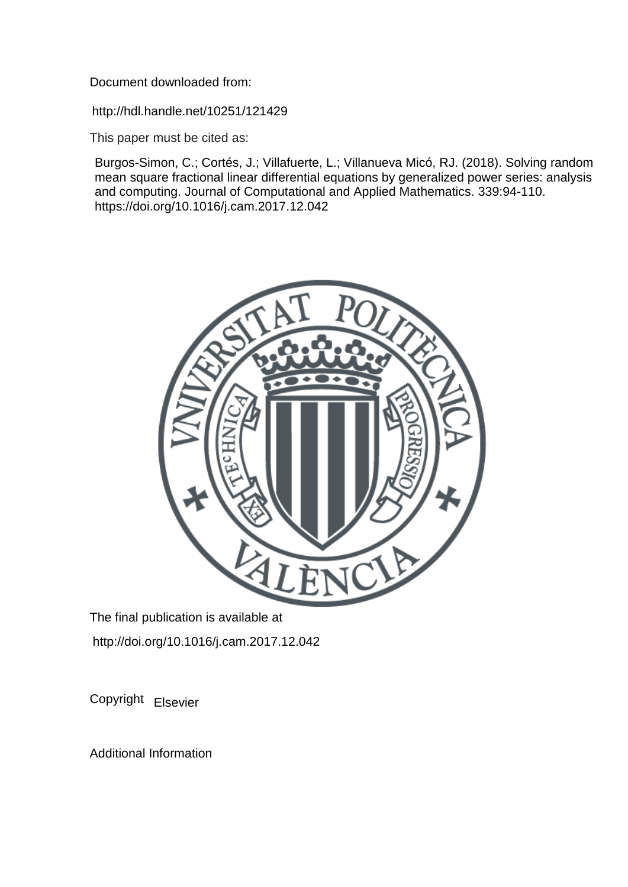Document downloaded from:

http://hdl.handle.net/10251/121429

This paper must be cited as:

Burgos-Simon, C.; Cortés, J.; Villafuerte, L.; Villanueva Micó, RJ. (2018). Solving random mean square fractional linear differential equations by generalized power series: analysis and computing. Journal of Computational and Applied Mathematics. 339:94-110. https://doi.org/10.1016/j.cam.2017.12.042



The final publication is available at http://doi.org/10.1016/j.cam.2017.12.042

Copyright Elsevier

Additional Information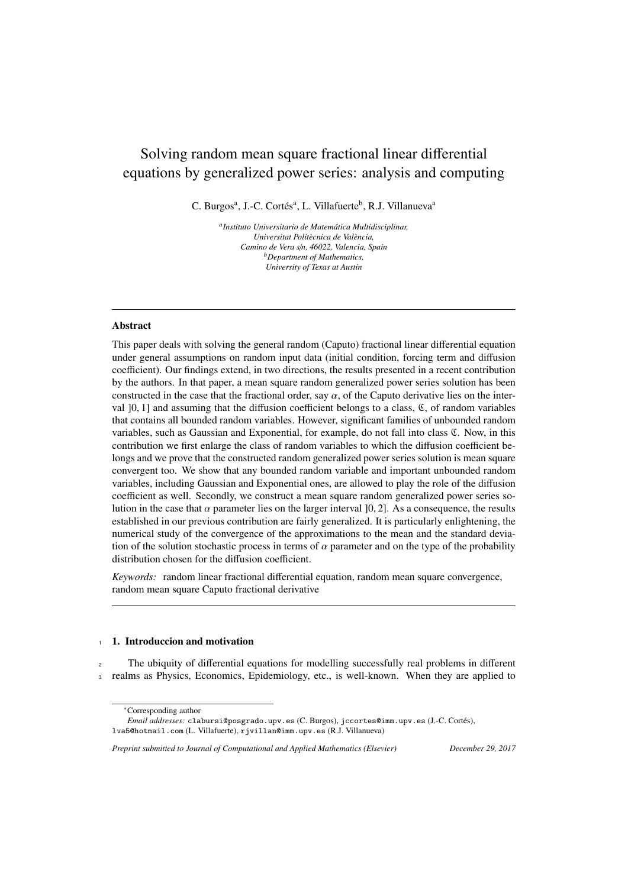# Solving random mean square fractional linear differential equations by generalized power series: analysis and computing

C. Burgos<sup>a</sup>, J.-C. Cortés<sup>a</sup>, L. Villafuerte<sup>b</sup>, R.J. Villanueva<sup>a</sup>

*a Instituto Universitario de Matem ´atica Multidisciplinar, Universitat Polit`ecnica de Val`encia, Camino de Vera s*/*n, 46022, Valencia, Spain <sup>b</sup>Department of Mathematics, University of Texas at Austin*

#### Abstract

This paper deals with solving the general random (Caputo) fractional linear differential equation under general assumptions on random input data (initial condition, forcing term and diffusion coefficient). Our findings extend, in two directions, the results presented in a recent contribution by the authors. In that paper, a mean square random generalized power series solution has been constructed in the case that the fractional order, say  $\alpha$ , of the Caputo derivative lies on the interval  $]0, 1]$  and assuming that the diffusion coefficient belongs to a class,  $\mathfrak{C}$ , of random variables that contains all bounded random variables. However, significant families of unbounded random variables, such as Gaussian and Exponential, for example, do not fall into class C. Now, in this contribution we first enlarge the class of random variables to which the diffusion coefficient belongs and we prove that the constructed random generalized power series solution is mean square convergent too. We show that any bounded random variable and important unbounded random variables, including Gaussian and Exponential ones, are allowed to play the role of the diffusion coefficient as well. Secondly, we construct a mean square random generalized power series solution in the case that  $\alpha$  parameter lies on the larger interval [0, 2]. As a consequence, the results established in our previous contribution are fairly generalized. It is particularly enlightening, the numerical study of the convergence of the approximations to the mean and the standard deviation of the solution stochastic process in terms of  $\alpha$  parameter and on the type of the probability distribution chosen for the diffusion coefficient.

*Keywords:* random linear fractional differential equation, random mean square convergence, random mean square Caputo fractional derivative

#### 1. Introduccion and motivation

<sup>2</sup> The ubiquity of differential equations for modelling successfully real problems in different <sup>3</sup> realms as Physics, Economics, Epidemiology, etc., is well-known. When they are applied to

<sup>∗</sup>Corresponding author

*Email addresses:* clabursi@posgrado.upv.es (C. Burgos), jccortes@imm.upv.es (J.-C. Cortes), ´ lva5@hotmail.com (L. Villafuerte), rjvillan@imm.upv.es (R.J. Villanueva)

*Preprint submitted to Journal of Computational and Applied Mathematics (Elsevier) December 29, 2017*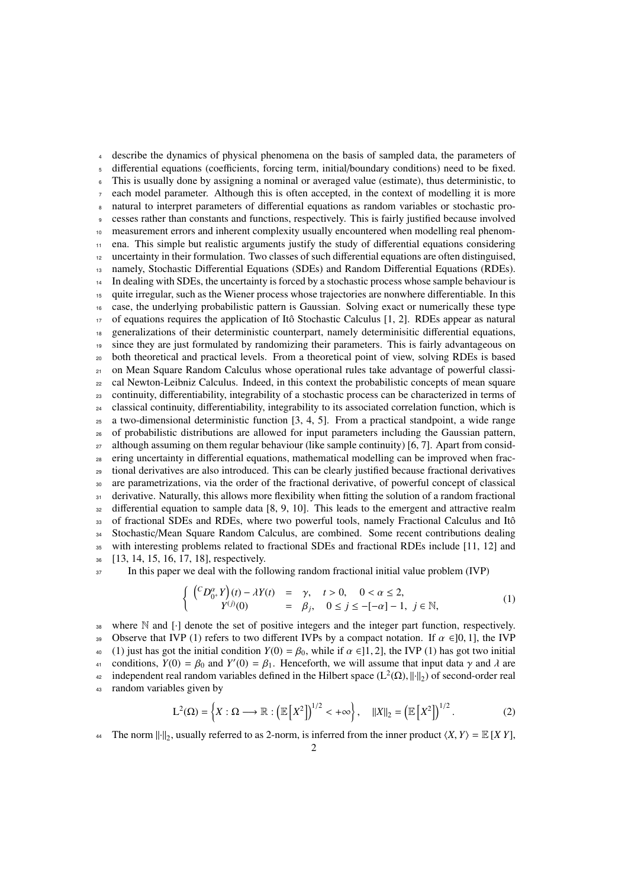describe the dynamics of physical phenomena on the basis of sampled data, the parameters of differential equations (coefficients, forcing term, initial/boundary conditions) need to be fixed. This is usually done by assigning a nominal or averaged value (estimate), thus deterministic, to each model parameter. Although this is often accepted, in the context of modelling it is more natural to interpret parameters of differential equations as random variables or stochastic pro- cesses rather than constants and functions, respectively. This is fairly justified because involved measurement errors and inherent complexity usually encountered when modelling real phenom- ena. This simple but realistic arguments justify the study of differential equations considering uncertainty in their formulation. Two classes of such differential equations are often distinguised, namely, Stochastic Differential Equations (SDEs) and Random Differential Equations (RDEs). <sup>14</sup> In dealing with SDEs, the uncertainty is forced by a stochastic process whose sample behaviour is quite irregular, such as the Wiener process whose trajectories are nonwhere differentiable. In this case, the underlying probabilistic pattern is Gaussian. Solving exact or numerically these type of equations requires the application of Itô Stochastic Calculus [1, 2]. RDEs appear as natural generalizations of their deterministic counterpart, namely determinisitic differential equations, since they are just formulated by randomizing their parameters. This is fairly advantageous on both theoretical and practical levels. From a theoretical point of view, solving RDEs is based <sub>21</sub> on Mean Square Random Calculus whose operational rules take advantage of powerful classi- cal Newton-Leibniz Calculus. Indeed, in this context the probabilistic concepts of mean square continuity, differentiability, integrability of a stochastic process can be characterized in terms of classical continuity, differentiability, integrability to its associated correlation function, which is a two-dimensional deterministic function [3, 4, 5]. From a practical standpoint, a wide range of probabilistic distributions are allowed for input parameters including the Gaussian pattern, although assuming on them regular behaviour (like sample continuity) [6, 7]. Apart from consid- ering uncertainty in differential equations, mathematical modelling can be improved when frac- tional derivatives are also introduced. This can be clearly justified because fractional derivatives are parametrizations, via the order of the fractional derivative, of powerful concept of classical 31 derivative. Naturally, this allows more flexibility when fitting the solution of a random fractional <sup>32</sup> differential equation to sample data [8, 9, 10]. This leads to the emergent and attractive realm 33 of fractional SDEs and RDEs, where two powerful tools, namely Fractional Calculus and Itô Stochastic/Mean Square Random Calculus, are combined. Some recent contributions dealing with interesting problems related to fractional SDEs and fractional RDEs include [11, 12] and [13, 14, 15, 16, 17, 18], respectively.

<sup>37</sup> In this paper we deal with the following random fractional initial value problem (IVP)

$$
\begin{cases}\n\binom{C_{\alpha}x}{0}y(t)-\lambda Y(t) & = & \gamma, \quad t>0, \quad 0<\alpha\leq 2, \\
Y^{(j)}(0) & = & \beta_j, \quad 0\leq j\leq -[-\alpha]-1, \ j\in\mathbb{N},\n\end{cases}
$$
\n(1)

<sup>38</sup> where N and [·] denote the set of positive integers and the integer part function, respectively. 39 Observe that IVP (1) refers to two different IVPs by a compact notation. If  $\alpha \in ]0, 1]$ , the IVP (1) iust has got the initial condition  $Y(0) = \beta_0$ , while if  $\alpha \in ]1, 2]$ , the IVP (1) has got two initial 40 (1) just has got the initial condition  $Y(0) = \beta_0$ , while if  $\alpha \in ]1, 2]$ , the IVP (1) has got two initial conditions,  $Y(0) = \beta_0$  and  $Y'(0) = \beta_1$ . Henceforth, we will assume that input data  $\gamma$  and  $\lambda$  are <sup>41</sup> conditions, *Y*(0) = *β*<sub>0</sub> and *Y*'(0) = *β*<sub>1</sub>. Henceforth, we will assume that input data γ and λ are<br>a independent real random variables defined in the Hilbert space (1<sup>2</sup>(O) lbb) of second-order real <sup>42</sup> independent real random variables defined in the Hilbert space  $(L^2(\Omega), ||\cdot||_2)$  of second-order real random variables given by <sup>43</sup> random variables given by  $1/2$  $1/2$ 

$$
L^{2}(\Omega) = \left\{ X : \Omega \longrightarrow \mathbb{R} : \left( \mathbb{E}\left[X^{2}\right]\right)^{1/2} < +\infty \right\}, \quad \|X\|_{2} = \left( \mathbb{E}\left[X^{2}\right]\right)^{1/2} . \tag{2}
$$

The norm  $\|\cdot\|_2$ , usually referred to as 2-norm, is inferred from the inner product  $\langle X, Y \rangle = \mathbb{E}[XY]$ ,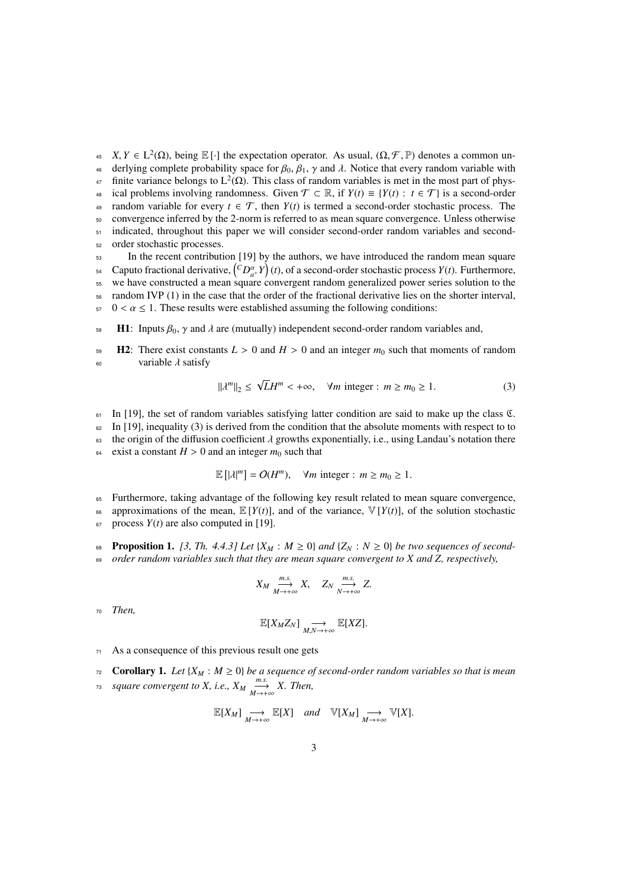$X, Y \in L^2(\Omega)$ , being E [·] the expectation operator. As usual,  $(\Omega, \mathcal{F}, \mathbb{P})$  denotes a common un-<br>  $\Omega$  deriving complete probability space for  $\mathcal{B}_2$ ,  $\mathcal{B}_3$ ,  $\chi$  and  $\lambda$ . Notice that every random variable <sup>46</sup> derlying complete probability space for  $\beta_0$ ,  $\beta_1$ , γ and  $\lambda$ . Notice that every random variable with finite variance belongs to  $\frac{1}{2}(\Omega)$ . This class of random variables is met in the most part of phys-<sup>47</sup> finite variance belongs to  $L^2(\Omega)$ . This class of random variables is met in the most part of phys-48 ical problems involving randomness. Given  $\mathcal{T} \subset \mathbb{R}$ , if  $Y(t) \equiv \{Y(t) : t \in \mathcal{T}\}\$ is a second-order 49 random variable for every  $t \in \mathcal{T}$ , then  $Y(t)$  is termed a second-order stochastic process. The <sup>50</sup> convergence inferred by the 2-norm is referred to as mean square convergence. Unless otherwise  $51$  indicated, throughout this paper we will consider second-order random variables and second-<sup>52</sup> order stochastic processes.

<sup>53</sup> In the recent contribution [19] by the authors, we have introduced the random mean square  $\alpha$ <sup>4</sup> Caputo fractional derivative,  $\binom{C D^{\alpha+1}_{a}}{T}$  (*t*), of a second-order stochastic process *Y*(*t*). Furthermore, 55 we have constructed a mean square convergent random generalized power series solution to the <sup>56</sup> random IVP (1) in the case that the order of the fractional derivative lies on the shorter interval,  $57 \quad 0 < \alpha \leq 1$ . These results were established assuming the following conditions:

 $58$  H1: Inputs  $β_0$ , γ and λ are (mutually) independent second-order random variables and,

**H2:** There exist constants  $L > 0$  and  $H > 0$  and an integer  $m_0$  such that moments of random variable  $\lambda$  satisfy variable  $\lambda$  satisfy

$$
\|\lambda^m\|_2 \le \sqrt{L}H^m < +\infty, \quad \forall m \text{ integer : } m \ge m_0 \ge 1. \tag{3}
$$

 $61$  In [19], the set of random variables satisfying latter condition are said to make up the class  $\mathfrak{C}$ .  $62$  In [19], inequality (3) is derived from the condition that the absolute moments with respect to to 63 the origin of the diffusion coefficient  $\lambda$  growths exponentially, i.e., using Landau's notation there exist a constant  $H > 0$  and an integer  $m_0$  such that exist a constant  $H > 0$  and an integer  $m_0$  such that

$$
\mathbb{E}\left[|\lambda|^m\right] = O(H^m), \quad \forall m \text{ integer} : m \ge m_0 \ge 1.
$$

<sup>65</sup> Furthermore, taking advantage of the following key result related to mean square convergence,

66 approximations of the mean,  $\mathbb{E}[Y(t)]$ , and of the variance,  $\mathbb{V}[Y(t)]$ , of the solution stochastic  $67$  process  $Y(t)$  are also computed in [19].

- 68 **Proposition 1.** [3, Th. 4.4.3] Let  $\{X_M : M \ge 0\}$  and  $\{Z_N : N \ge 0\}$  be two sequences of second-
- <sup>69</sup> *order random variables such that they are mean square convergent to X and Z, respectively,*

$$
X_M \xrightarrow[M \to +\infty]{m.s.} X, \quad Z_N \xrightarrow[N \to +\infty]{m.s.} Z.
$$

<sup>70</sup> *Then,*

$$
\mathbb{E}[X_M Z_N] \underset{M,N \to +\infty}{\longrightarrow} \mathbb{E}[XZ].
$$

<sup>71</sup> As a consequence of this previous result one gets

$$
r_2
$$
 **Corollary 1.** Let  $\{X_M : M \geq 0\}$  be a sequence of second-order random variables so that is mean

*square convergent to X, i.e.,*  $X_M \xrightarrow[M \to +\infty]{m.s.} X$ . Then,

$$
\mathbb{E}[X_M] \underset{M \to +\infty}{\longrightarrow} \mathbb{E}[X] \quad and \quad \mathbb{V}[X_M] \underset{M \to +\infty}{\longrightarrow} \mathbb{V}[X].
$$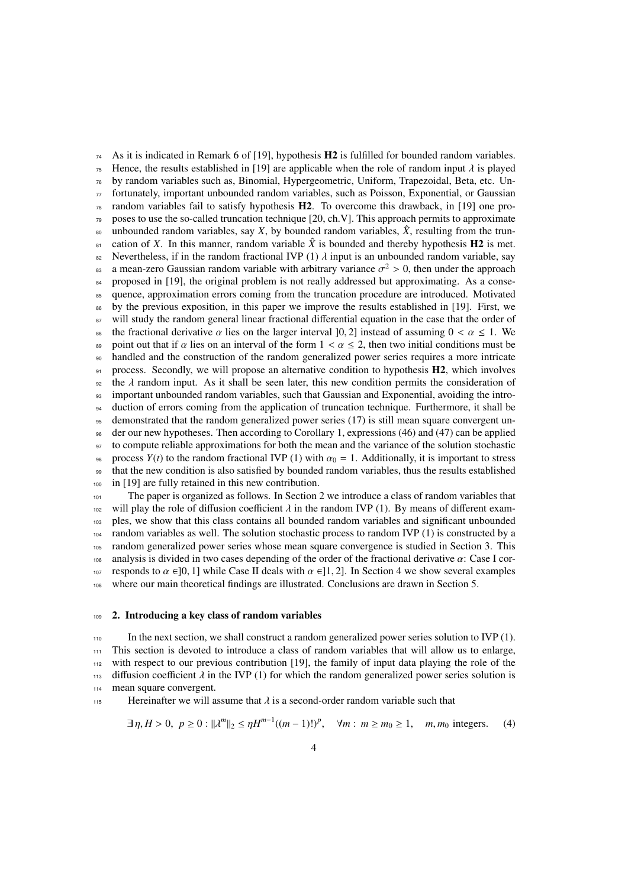$74$  As it is indicated in Remark 6 of [19], hypothesis **H2** is fulfilled for bounded random variables. <sup>75</sup> Hence, the results established in [19] are applicable when the role of random input  $\lambda$  is played<br><sup>76</sup> by random variables such as. Binomial, Hypergeometric, Uniform, Trapezoidal, Beta, etc. Unby random variables such as, Binomial, Hypergeometric, Uniform, Trapezoidal, Beta, etc. Un- $\pi$  fortunately, important unbounded random variables, such as Poisson, Exponential, or Gaussian  $78$  random variables fail to satisfy hypothesis  $H2$ . To overcome this drawback, in [19] one pro- $79$  poses to use the so-called truncation technique [20, ch.V]. This approach permits to approximate <sup>80</sup> unbounded random variables, say *X*, by bounded random variables,  $\hat{X}$ , resulting from the trun- $\epsilon$ <sup>81</sup> cation of *X*. In this manner, random variable  $\hat{X}$  is bounded and thereby hypothesis **H2** is met. <sup>82</sup> Nevertheless, if in the random fractional IVP (1) λ input is an unbounded random variable, say a mean-zero Gaussian random variable with arbitrary variance  $σ<sup>2</sup> > 0$ , then under the approach a mean-zero Gaussian random variable with arbitrary variance  $\sigma^2 > 0$ , then under the approach<br>corresponded in [19], the original problem is not really addressed but approximating. As a conse-84 proposed in [19], the original problem is not really addressed but approximating. As a conse-<sup>85</sup> quence, approximation errors coming from the truncation procedure are introduced. Motivated <sup>86</sup> by the previous exposition, in this paper we improve the results established in [19]. First, we <sup>87</sup> will study the random general linear fractional differential equation in the case that the order of 88 the fractional derivative  $\alpha$  lies on the larger interval [0, 2] instead of assuming  $0 < \alpha \le 1$ . We point out that if  $\alpha$  lies on an interval of the form  $1 < \alpha < 2$ , then two initial conditions must be 89 point out that if  $\alpha$  lies on an interval of the form  $1 < \alpha \leq 2$ , then two initial conditions must be handled and the construction of the random generalized power series requires a more intricate handled and the construction of the random generalized power series requires a more intricate  $91$  process. Secondly, we will propose an alternative condition to hypothesis  $H2$ , which involves  $\theta$ <sup>22</sup> the  $\lambda$  random input. As it shall be seen later, this new condition permits the consideration of important unbounded random variables, such that Gaussian and Exponential, avoiding the intro-<sup>93</sup> important unbounded random variables, such that Gaussian and Exponential, avoiding the intro-<sup>94</sup> duction of errors coming from the application of truncation technique. Furthermore, it shall be <sup>95</sup> demonstrated that the random generalized power series (17) is still mean square convergent un-<sup>96</sup> der our new hypotheses. Then according to Corollary 1, expressions (46) and (47) can be applied <sup>97</sup> to compute reliable approximations for both the mean and the variance of the solution stochastic 98 process  $Y(t)$  to the random fractional IVP (1) with  $\alpha_0 = 1$ . Additionally, it is important to stress that the new condition is also satisfied by bounded random variables, thus the results established <sup>99</sup> that the new condition is also satisfied by bounded random variables, thus the results established <sup>100</sup> in [19] are fully retained in this new contribution.

<sup>101</sup> The paper is organized as follows. In Section 2 we introduce a class of random variables that will play the role of diffusion coefficient  $\lambda$  in the random IVP (1). By means of different exam-<br>the ples, we show that this class contains all bounded random variables and significant unbounded <sup>103</sup> ples, we show that this class contains all bounded random variables and significant unbounded <sup>104</sup> random variables as well. The solution stochastic process to random IVP (1) is constructed by a <sup>105</sup> random generalized power series whose mean square convergence is studied in Section 3. This 106 analysis is divided in two cases depending of the order of the fractional derivative  $\alpha$ : Case I cor-<br>107 responds to  $\alpha \in ]0, 1]$  while Case II deals with  $\alpha \in ]1, 2]$ . In Section 4 we show several examples 107 responds to  $\alpha \in ]0, 1]$  while Case II deals with  $\alpha \in ]1, 2]$ . In Section 4 we show several examples where our main theoretical findings are illustrated. Conclusions are drawn in Section 5. where our main theoretical findings are illustrated. Conclusions are drawn in Section 5.

### <sup>109</sup> 2. Introducing a key class of random variables

<sup>110</sup> In the next section, we shall construct a random generalized power series solution to IVP (1). <sup>111</sup> This section is devoted to introduce a class of random variables that will allow us to enlarge, <sup>112</sup> with respect to our previous contribution [19], the family of input data playing the role of the 113 diffusion coefficient  $\lambda$  in the IVP (1) for which the random generalized power series solution is mean square convergent. mean square convergent.

115 Hereinafter we will assume that  $\lambda$  is a second-order random variable such that

$$
\exists \eta, H > 0, \ p \ge 0 : ||\lambda^m||_2 \le \eta H^{m-1}((m-1)!)^p, \quad \forall m : m \ge m_0 \ge 1, \quad m, m_0 \text{ integers.} \tag{4}
$$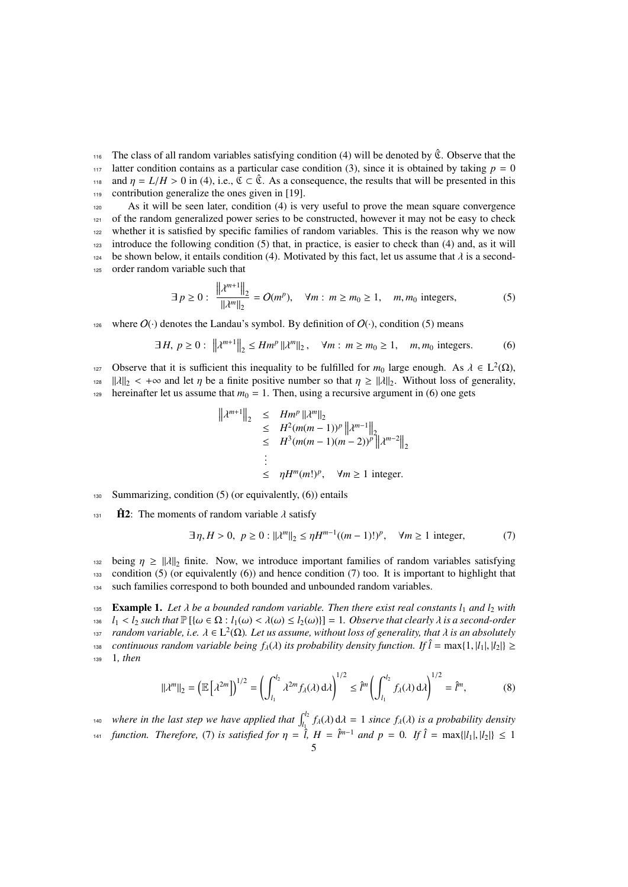The class of all random variables satisfying condition (4) will be denoted by  $\hat{\mathfrak{C}}$ . Observe that the <sup>117</sup> latter condition contains as a particular case condition (3), since it is obtained by taking  $p = 0$ and  $\eta = L/H > 0$  in (4), i.e.,  $\mathfrak{C} \subset \hat{\mathfrak{C}}$ . As a consequence, the results that will be presented in this contribution generalize the ones given in [19]. contribution generalize the ones given in [19].

 As it will be seen later, condition (4) is very useful to prove the mean square convergence of the random generalized power series to be constructed, however it may not be easy to check whether it is satisfied by specific families of random variables. This is the reason why we now introduce the following condition (5) that, in practice, is easier to check than (4) and, as it will 124 be shown below, it entails condition (4). Motivated by this fact, let us assume that  $\lambda$  is a second-<br>125 order random variable such that order random variable such that

$$
\exists p \ge 0: \frac{\left\| \lambda^{m+1} \right\|_{2}}{\| \lambda^{m} \|_{2}} = O(m^{p}), \quad \forall m: m \ge m_{0} \ge 1, \quad m, m_{0} \text{ integers},
$$
 (5)

126 where  $O(\cdot)$  denotes the Landau's symbol. By definition of  $O(\cdot)$ , condition (5) means

$$
\exists H, \ p \ge 0: \ \left\| \lambda^{m+1} \right\|_{2} \le H m^{p} \left\| \lambda^{m} \right\|_{2}, \quad \forall m: \ m \ge m_{0} \ge 1, \quad m, m_{0} \text{ integers.}
$$
 (6)

Observe that it is sufficient this inequality to be fulfilled for *m*<sub>0</sub> large enough. As  $\lambda \in L^2(\Omega)$ , <br>12/1|<sub>2</sub> <  $\pm \infty$  and let *n* be a finite positive number so that *n* > || λ||<sub>2</sub>. Without loss of generality

 $\|\lambda\|_2 < +\infty$  and let  $\eta$  be a finite positive number so that  $\eta \geq \|\lambda\|_2$ . Without loss of generality,<br>the prejuditor let us assume that  $m_0 - 1$ . Then using a recursive argument in (6) one gets

hereinafter let us assume that  $m_0 = 1$ . Then, using a recursive argument in (6) one gets

$$
||\lambda^{m+1}||_2 \leq Hm^p ||\lambda^m||_2
$$
  
\n
$$
\leq H^2(m(m-1))^p ||\lambda^{m-1}||_2
$$
  
\n
$$
\leq H^3(m(m-1)(m-2))^p ||\lambda^{m-2}||_2
$$
  
\n
$$
\vdots
$$
  
\n
$$
\leq \eta H^m(m!)^p, \quad \forall m \geq 1 \text{ integer.}
$$

130 Summarizing, condition  $(5)$  (or equivalently,  $(6)$ ) entails

 $\hat{H}2$ : The moments of random variable  $\lambda$  satisfy

$$
\exists \eta, H > 0, \ p \ge 0 : ||\lambda^m||_2 \le \eta H^{m-1}((m-1)!)^p, \quad \forall m \ge 1 \text{ integer}, \tag{7}
$$

132 being  $\eta \ge ||\lambda||_2$  finite. Now, we introduce important families of random variables satisfying<br>133 condition (5) (or equivalently (6)) and hence condition (7) too. It is important to highlight that condition (5) (or equivalently (6)) and hence condition (7) too. It is important to highlight that <sup>134</sup> such families correspond to both bounded and unbounded random variables.

135 **Example 1.** *Let*  $\lambda$  *be a bounded random variable. Then there exist real constants*  $l_1$  *and*  $l_2$  *with*<br>136  $l_1 < l_2$  such that  $\mathbb{P}(\{\omega \in \Omega : l_1(\omega) < \lambda(\omega) < l_2(\omega)\}\$  = 1. Observe that clearly  $\lambda$  is a second-orde 136 *l*<sub>1</sub> < *l*<sub>2</sub> *such that*  $\mathbb{P}[\{\omega \in \Omega : l_1(\omega) < \lambda(\omega) \le l_2(\omega)\}] = 1$ . Observe that clearly  $\lambda$  is a second-order<br>137 random variable, i.e.  $\lambda \in L^2(\Omega)$ . Let us assume, without loss of generality, that  $\lambda$  is an abs *random variable, i.e.*  $\lambda \in L^2(\Omega)$ *. Let us assume, without loss of generality, that*  $\lambda$  *is an absolutely*<br>continuous random variable being  $f_1(\lambda)$  its probability density function. If  $\hat{l}$  = may [1, [1, [1,] [2,] *continuous random variable being*  $f_\lambda(\lambda)$  *its probability density function. If*  $\hat{l} = \max\{1, |l_1|, |l_2|\} \ge$ <br>1. *then* 1. *then* 

$$
\|\lambda^m\|_2 = \left(\mathbb{E}\left[\lambda^{2m}\right]\right)^{1/2} = \left(\int_{l_1}^{l_2} \lambda^{2m} f_\lambda(\lambda) \, d\lambda\right)^{1/2} \leq \hat{l}^m \left(\int_{l_1}^{l_2} f_\lambda(\lambda) \, d\lambda\right)^{1/2} = \hat{l}^m,\tag{8}
$$

*where in the last step we have applied that*  $\int_{l_1}^{l_2} f_{\lambda}(\lambda) d\lambda = 1$  *since*  $f_{\lambda}(\lambda)$  *is a probability density*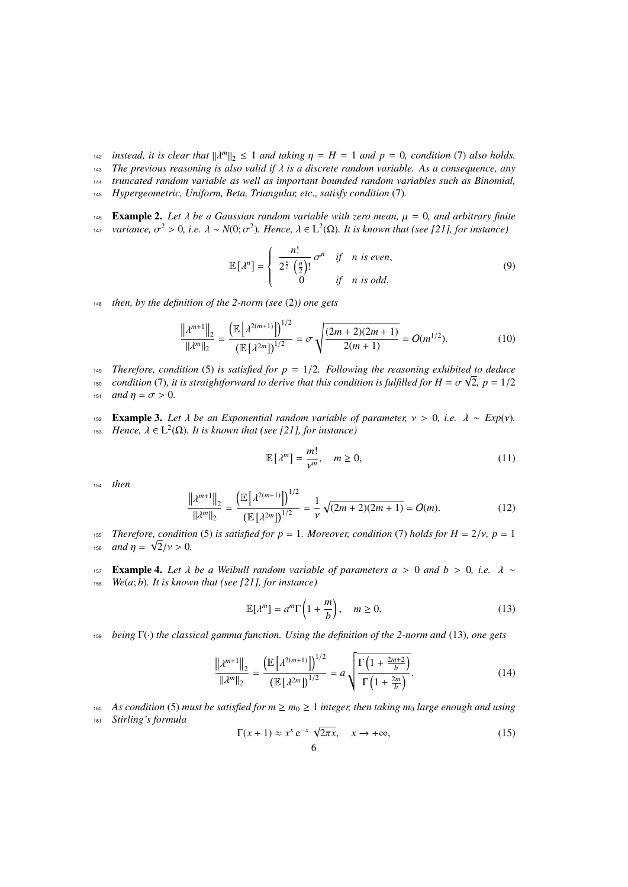- *instead, it is clear that*  $\|\lambda^m\|_2 \le 1$  *and taking*  $\eta = H = 1$  *and*  $p = 0$ *, condition* (7) *also holds.*<br>*in* The previous reasoning is also valid if  $\lambda$  is a discrete random variable. As a consequence, any
- <sup>143</sup> *The previous reasoning is also valid if* λ *is a discrete random variable. As a consequence, any*
- <sup>144</sup> *truncated random variable as well as important bounded random variables such as Binomial,*
- <sup>145</sup> *Hypergeometric, Uniform, Beta, Triangular, etc., satisfy condition* (7)*.*
- **Example 2.** Let  $\lambda$  be a Gaussian random variable with zero mean,  $\mu = 0$ , and arbitrary finite<br>that variance,  $\sigma^2 > 0$ , i.e.  $\lambda \sim N(0; \sigma^2)$ . Hence,  $\lambda \in L^2(\Omega)$ . It is known that (see [21], for instance)
- *variance,*  $\sigma^2 > 0$ , *i.e.*  $\lambda \sim N(0; \sigma^2)$ *. Hence,*  $\lambda \in L^2(\Omega)$ *. It is known that (see [21], for instance)*

$$
\mathbb{E}\left[\lambda^{n}\right] = \begin{cases} \frac{n!}{2^{\frac{n}{2}}\left(\frac{n}{2}\right)!} \sigma^{n} & \text{if } n \text{ is even,} \\ 0 & \text{if } n \text{ is odd,} \end{cases}
$$
(9)

<sup>148</sup> *then, by the definition of the 2-norm (see* (2)*) one gets*

$$
\frac{\left\|\lambda^{m+1}\right\|_{2}}{\left\|\lambda^{m}\right\|_{2}} = \frac{\left(\mathbb{E}\left[\lambda^{2(m+1)}\right]\right)^{1/2}}{\left(\mathbb{E}\left[\lambda^{2m}\right]\right)^{1/2}} = \sigma\sqrt{\frac{(2m+2)(2m+1)}{2(m+1)}} = O(m^{1/2}).\tag{10}
$$

- 149 *Therefore, condition* (5) is satisfied for  $p = 1/2$ . Following the reasoning exhibited to deduce<br>  $\frac{1}{2}$  condition (7) it is straightforward to derive that this condition is fulfilled for  $H = \sigma \sqrt{2}$ ,  $p = 1/2$
- *condition* (7)*, it is straightforward to derive that this condition is fulfilled for H* =  $\sigma \sqrt{2}$ *, p* = 1/2<br>*it and n* =  $\sigma$  > 0 151 *and*  $\eta = \sigma > 0$ .
- **Example 3.** *Let*  $λ$  *be an Exponential random variable of parameter,*  $ν > 0$ *, i.e.*  $λ ~ Exp(ν)$ *. Hence,*  $λ ∈ L<sup>2</sup>(Ω)$ *. It is known that (see [211, for instance) Hence,*  $\lambda \in L^2(\Omega)$ *. It is known that (see [21], for instance)*

$$
\mathbb{E}\left[\lambda^{m}\right] = \frac{m!}{\nu^{m}}, \quad m \ge 0,
$$
\n(11)

<sup>154</sup> *then*

$$
\frac{\left\|\lambda^{m+1}\right\|_{2}}{\left\|\lambda^{m}\right\|_{2}} = \frac{\left(\mathbb{E}\left[\lambda^{2(m+1)}\right]\right)^{1/2}}{\left(\mathbb{E}\left[\lambda^{2m}\right]\right)^{1/2}} = \frac{1}{\nu}\sqrt{(2m+2)(2m+1)} = O(m). \tag{12}
$$

- 155 *Therefore, condition* (5) *is satisfied for*  $p = 1$ *. Moreover, condition* (7) *holds for*  $H = 2/v$ *,*  $p = 1$ <br> $\leq$   $p = 4$  $_{156}$  *and*  $\eta = \sqrt{2}/\nu > 0$ .
- 157 **Example 4.** *Let*  $λ$  *be a Weibull random variable of parameters*  $a > 0$  *and*  $b > 0$ *, <i>i.e.*  $λ \sim$  *We(a; b). It is known that (see [21], for instance)*
- $We (a; b)$ *. It is known that (see [21], for instance)*

$$
\mathbb{E}[\lambda^m] = a^m \Gamma\left(1 + \frac{m}{b}\right), \quad m \ge 0,
$$
\n(13)

<sup>159</sup> *being* Γ(·) *the classical gamma function. Using the definition of the 2-norm and* (13)*, one gets*

$$
\frac{\left\|\lambda^{m+1}\right\|_{2}}{\left\|\lambda^{m}\right\|_{2}} = \frac{\left(\mathbb{E}\left[\lambda^{2(m+1)}\right]\right)^{1/2}}{\left(\mathbb{E}\left[\lambda^{2m}\right]\right)^{1/2}} = a \sqrt{\frac{\Gamma\left(1 + \frac{2m+2}{b}\right)}{\Gamma\left(1 + \frac{2m}{b}\right)}}.
$$
\n(14)

160 *As condition* (5) *must be satisfied for*  $m \ge m_0 \ge 1$  *integer, then taking*  $m_0$  *large enough and using* <sup>161</sup> *Stirling's formula* √

$$
\Gamma(x+1) \approx x^x e^{-x} \sqrt{2\pi x}, \quad x \to +\infty,
$$
\n(15)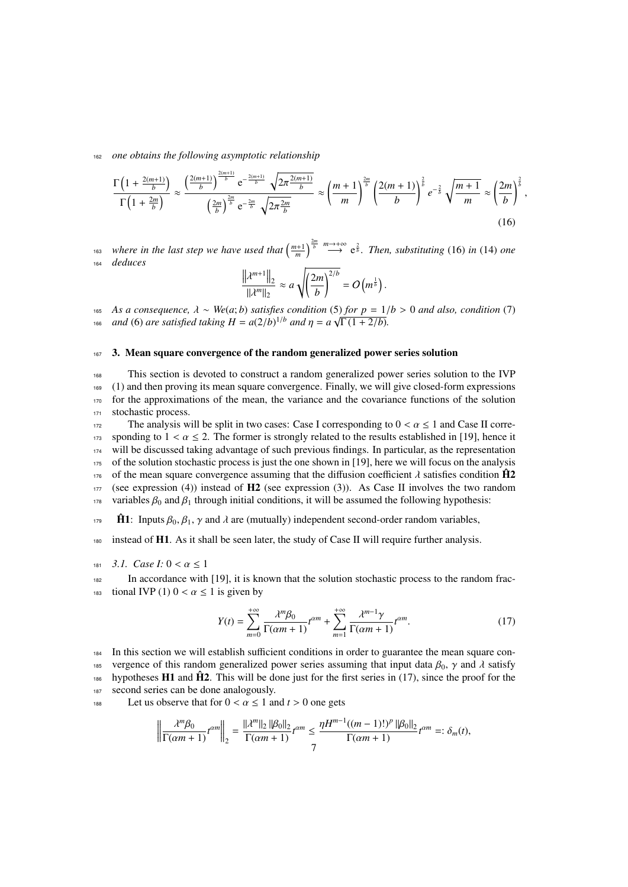<sup>162</sup> *one obtains the following asymptotic relationship*

$$
\frac{\Gamma\left(1+\frac{2(m+1)}{b}\right)}{\Gamma\left(1+\frac{2m}{b}\right)} \approx \frac{\left(\frac{2(m+1)}{b}\right)^{\frac{2(m+1)}{b}} e^{-\frac{2(m+1)}{b}} \sqrt{2\pi \frac{2(m+1)}{b}}}{\left(\frac{2m}{b}\right)^{\frac{2m}{b}} e^{-\frac{2m}{b}} \sqrt{2\pi \frac{2m}{b}}} \approx \left(\frac{m+1}{m}\right)^{\frac{2m}{b}} \left(\frac{2(m+1)}{b}\right)^{\frac{2}{b}} e^{-\frac{2}{b}} \sqrt{\frac{m+1}{m}} \approx \left(\frac{2m}{b}\right)^{\frac{2}{b}},\tag{16}
$$

 $\frac{1}{2}$  *m bere in the last step we have used that*  $\left(\frac{m+1}{m}\right)^{\frac{2m}{b}} \stackrel{m\to+\infty}{\longrightarrow} e^{\frac{2}{b}}$ *. Then, substituting* (16) *in* (14) *one* <sup>164</sup> *deduces*

$$
\frac{\left\|\lambda^{m+1}\right\|_2}{\|\lambda^m\|_2} \approx a \sqrt{\left(\frac{2m}{b}\right)^{2/b}} = O\left(m^{\frac{1}{b}}\right).
$$

<sup>165</sup> *As a consequence,*  $λ ∼ We(a; b)$  *satisfies condition* (5) *for*  $p = 1/b > 0$  *and also, condition* (7) <sup>166</sup> *and* (6) *are satisfied taking*  $H = a(2/b)^{1/b}$  *and*  $\eta = a\sqrt{\Gamma(1+2/b)}$ *.* 

## 167 3. Mean square convergence of the random generalized power series solution

 This section is devoted to construct a random generalized power series solution to the IVP (1) and then proving its mean square convergence. Finally, we will give closed-form expressions for the approximations of the mean, the variance and the covariance functions of the solution 171 stochastic process.

172 The analysis will be split in two cases: Case I corresponding to  $0 < \alpha \le 1$  and Case II corre-<br>173 sponding to  $1 < \alpha < 2$ . The former is strongly related to the results established in [19], hence it 173 sponding to  $1 < \alpha \le 2$ . The former is strongly related to the results established in [19], hence it 174 will be discussed taking advantage of such previous findings. In particular, as the representation will be discussed taking advantage of such previous findings. In particular, as the representation <sup>175</sup> of the solution stochastic process is just the one shown in [19], here we will focus on the analysis of the mean square convergence assuming that the diffusion coefficient  $\lambda$  satisfies condition  $\bf{H2}^{\prime}$  (see expression (3)). As Case II involves the two random (see expression (4)) instead of  $H2$  (see expression (3)). As Case II involves the two random 178 variables  $\beta_0$  and  $\beta_1$  through initial conditions, it will be assumed the following hypothesis:

 $\hat{\mathbf{H}}$  1: Inputs  $\beta_0, \beta_1, \gamma$  and  $\lambda$  are (mutually) independent second-order random variables,

<sup>180</sup> instead of H1. As it shall be seen later, the study of Case II will require further analysis.

181 *3.1. Case I:*  $0 < \alpha \le 1$ <br>In accordance with

In accordance with [19], it is known that the solution stochastic process to the random frac-183 tional IVP (1)  $0 < \alpha \le 1$  is given by

$$
Y(t) = \sum_{m=0}^{+\infty} \frac{\lambda^m \beta_0}{\Gamma(\alpha m + 1)} t^{\alpha m} + \sum_{m=1}^{+\infty} \frac{\lambda^{m-1} \gamma}{\Gamma(\alpha m + 1)} t^{\alpha m}.
$$
 (17)

<sup>184</sup> In this section we will establish sufficient conditions in order to guarantee the mean square con-185 vergence of this random generalized power series assuming that input data  $\beta_0$ ,  $\gamma$  and  $\lambda$  satisfy<br>the hypotheses **H1** and  $\hat{H}$ 2. This will be done just for the first series in (17) since the proof for the hypotheses  $H1$  and  $\hat{H2}$ . This will be done just for the first series in (17), since the proof for the 187 second series can be done analogously.

188 Let us observe that for  $0 < \alpha \le 1$  and  $t > 0$  one gets

$$
\left\|\frac{\lambda^m \beta_0}{\Gamma(\alpha m+1)}t^{\alpha m}\right\|_2 = \frac{\|\lambda^m\|_2 \|\beta_0\|_2}{\Gamma(\alpha m+1)}t^{\alpha m} \le \frac{\eta H^{m-1}((m-1)!)^p \|\beta_0\|_2}{\Gamma(\alpha m+1)}t^{\alpha m} =: \delta_m(t),
$$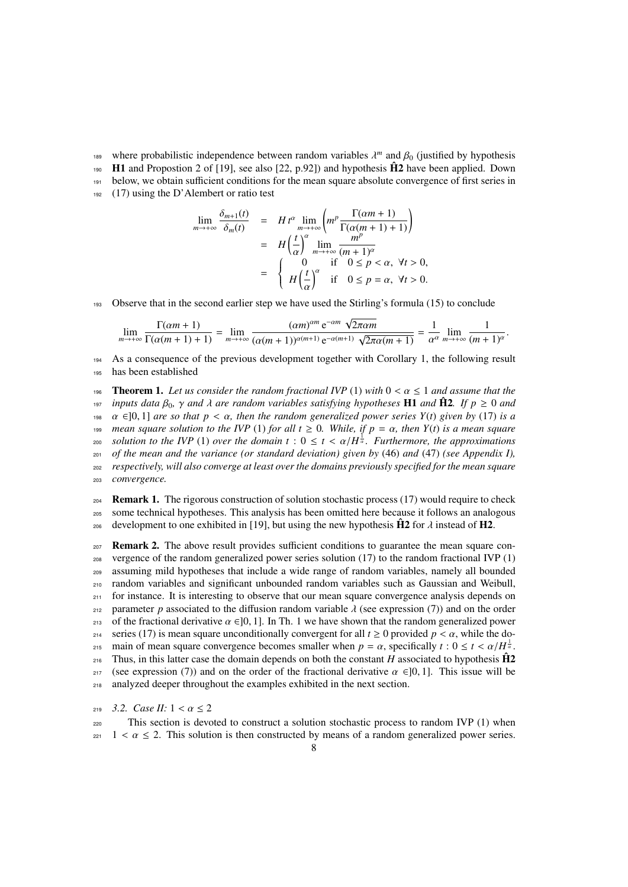- where probabilistic independence between random variables  $\lambda^m$  and  $\beta_0$  (justified by hypothesis<br>**H1** and Propostion 2 of [19] see also [22, p.92]) and hypothesis **H2** have been applied. Down
- $_{190}$  H1 and Propostion 2 of [19], see also [22, p.92]) and hypothesis  $\hat{H}2$  have been applied. Down
- $191$  below, we obtain sufficient conditions for the mean square absolute convergence of first series in
- <sup>192</sup> (17) using the D'Alembert or ratio test

*m*→+∞

$$
\lim_{m \to +\infty} \frac{\delta_{m+1}(t)}{\delta_m(t)} = H t^{\alpha} \lim_{m \to +\infty} \left( m^p \frac{\Gamma(\alpha m + 1)}{\Gamma(\alpha (m + 1) + 1)} \right)
$$
  
=  $H \left( \frac{t}{\alpha} \right)^{\alpha} \lim_{m \to +\infty} \frac{m^p}{(m + 1)^{\alpha}}$   
=  $\begin{cases} 0 & \text{if } 0 \le p < \alpha, \forall t > 0, \\ H \left( \frac{t}{\alpha} \right)^{\alpha} & \text{if } 0 \le p = \alpha, \forall t > 0. \end{cases}$ 

<sup>193</sup> Observe that in the second earlier step we have used the Stirling's formula (15) to conclude

$$
\lim_{m\to+\infty}\frac{\Gamma(\alpha m+1)}{\Gamma(\alpha (m+1)+1)}=\lim_{m\to+\infty}\frac{(\alpha m)^{\alpha m}\,\mathrm{e}^{-\alpha m}\,\sqrt{2\pi\alpha m}}{(\alpha (m+1))^{\alpha (m+1)}\,\mathrm{e}^{-\alpha (m+1)}\,\sqrt{2\pi\alpha (m+1)}}=\frac{1}{\alpha^{\alpha}}\lim_{m\to+\infty}\frac{1}{(m+1)^{\alpha}}.
$$

<sup>194</sup> As a consequence of the previous development together with Corollary 1, the following result <sup>195</sup> has been established

**196 Theorem 1.** Let us consider the random fractional IVP (1) with  $0 < \alpha \le 1$  and assume that the inputs data  $\beta_0$ ,  $\gamma$  and  $\lambda$  are random variables satisfying hypotheses **H1** and  $\hat{\mathbf{H}}\mathbf{2}$ . If  $p \ge 0$  and *isi inputs data*  $\beta_0$ ,  $\gamma$  *and*  $\lambda$  *are random variables satisfying hypotheses* **H1** *and*  $\hat{\mathbf{H}}\mathbf{2}$ *. If*  $p \ge 0$  *and*  $\alpha \in ]0, 1]$  *are so that*  $p < \alpha$ *, then the random generalized power series*  $Y(t)$  198  $\alpha$  ∈]0, 1] *are so that*  $p < \alpha$ , *then the random generalized power series Y(t) given by* (17) *is a*<br>199 mean sauare solution to the *IVP* (1) for all  $t > 0$ . While, if  $p = \alpha$ , then *Y*(t) is a mean sauare *n*<sub>99</sub> *mean square solution to the IVP* (1) *for all*  $t \ge 0$ *. While, if*  $p = \alpha$ *, then Y(t) is a mean square*  $\alpha$  *solution to the IVP* (1) *over the domain*  $t : 0 \le t \le \alpha/H^{\frac{1}{\alpha}}$ *. Furthermore, the approximations solution to the IVP* (1) *over the domain*  $t : 0 \le t < \alpha/H^{\frac{1}{\alpha}}$ . Furthermore, the approximations of the mean and the variance (or standard deviation) given by (46) and (47) (see Appendix I) <sup>201</sup> *of the mean and the variance (or standard deviation) given by* (46) *and* (47) *(see Appendix I),* <sup>202</sup> *respectively, will also converge at least over the domains previously specified for the mean square* <sup>203</sup> *convergence.*

**204 Remark 1.** The rigorous construction of solution stochastic process (17) would require to check <sup>205</sup> some technical hypotheses. This analysis has been omitted here because it follows an analogous above development to one exhibited in [19], but using the new hypothesis  $\hat{H}2$  for  $\lambda$  instead of H2.

 $207$  **Remark 2.** The above result provides sufficient conditions to guarantee the mean square con-<sup>208</sup> vergence of the random generalized power series solution (17) to the random fractional IVP (1) <sup>209</sup> assuming mild hypotheses that include a wide range of random variables, namely all bounded <sup>210</sup> random variables and significant unbounded random variables such as Gaussian and Weibull, <sup>211</sup> for instance. It is interesting to observe that our mean square convergence analysis depends on 212 parameter *p* associated to the diffusion random variable  $\lambda$  (see expression (7)) and on the order  $\alpha$  of the fractional derivative  $\alpha \in [0, 1]$ . In The 1 we have shown that the random generalized nower 213 of the fractional derivative  $\alpha \in ]0, 1]$ . In Th. 1 we have shown that the random generalized power<br>214 series (17) is mean square unconditionally convergent for all  $t \ge 0$  provided  $p < \alpha$ , while the do-214 series (17) is mean square unconditionally convergent for all *t* ≥ 0 provided *p* < *α*, while the do-<br>215 main of mean square convergence becomes smaller when *p* = *α*, specifically *t* : 0 < *t* < *α*/*H*<sup> $\frac{1}{$ main of mean square convergence becomes smaller when  $p = \alpha$ , specifically  $t : 0 \le t < \alpha/H_{\alpha}^{\frac{1}{\alpha}}$ .<br>Thus in this latter case the domain depends on both the constant *H* associated to hypothesis **H**2 Thus, in this latter case the domain depends on both the constant *H* associated to hypothesis  $\hat{H}2$ 217 (see expression (7)) and on the order of the fractional derivative  $\alpha \in ]0, 1]$ . This issue will be analyzed deeper throughout the examples exhibited in the next section. analyzed deeper throughout the examples exhibited in the next section.

219 *3.2. Case II:*  $1 < \alpha \le 2$ <br>220 This section is devo

This section is devoted to construct a solution stochastic process to random IVP (1) when  $221 \le \alpha \le 2$ . This solution is then constructed by means of a random generalized power series.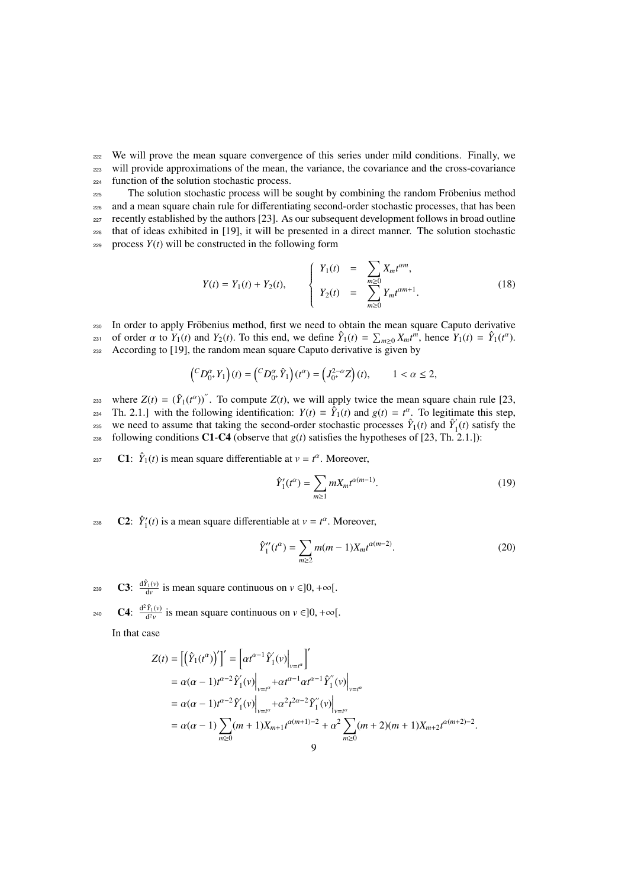<sup>222</sup> We will prove the mean square convergence of this series under mild conditions. Finally, we <sup>223</sup> will provide approximations of the mean, the variance, the covariance and the cross-covariance <sup>224</sup> function of the solution stochastic process.

<sub>225</sub> The solution stochastic process will be sought by combining the random Fröbenius method <sup>226</sup> and a mean square chain rule for differentiating second-order stochastic processes, that has been  $_{227}$  recently established by the authors [23]. As our subsequent development follows in broad outline <sup>228</sup> that of ideas exhibited in [19], it will be presented in a direct manner. The solution stochastic  $229$  process  $Y(t)$  will be constructed in the following form

$$
Y(t) = Y_1(t) + Y_2(t), \qquad \begin{cases} Y_1(t) = \sum_{m \geq 0} X_m t^{\alpha m}, \\ Y_2(t) = \sum_{m \geq 0} Y_m t^{\alpha m+1}. \end{cases}
$$
(18)

230 In order to apply Fröbenius method, first we need to obtain the mean square Caputo derivative s<sub>231</sub> of order α to *Y*<sub>1</sub>(*t*) and *Y*<sub>2</sub>(*t*). To this end, we define  $\hat{Y}_1(t) = \sum_{m\ge0} X_m t^m$ , hence *Y*<sub>1</sub>(*t*) =  $\hat{Y}_1(t^a)$ . 232 According to [19], the random mean square Caputo derivative is given by

$$
\left({}^C D_{0^+}^\alpha Y_1\right)(t) = \left({}^C D_{0^+}^\alpha \hat{Y}_1\right)(t^\alpha) = \left(J_{0^+}^{2-\alpha} Z\right)(t), \qquad 1 < \alpha \le 2,
$$

where  $Z(t) = (\hat{Y}_1(t^{\alpha}))$ . To compute  $Z(t)$ , we will apply twice the mean square chain rule [23, Th. 2.1.] with the following identification:  $Y(t) \equiv \hat{Y}_1(t)$  and  $g(t) = t^{\alpha}$ . To legitimate this step, we need to assume that taking the second-order stochastic processes  $\hat{Y}_1(t)$  and  $\hat{Y}'_1$ <sup>235</sup> we need to assume that taking the second-order stochastic processes  $\hat{Y}_1(t)$  and  $\hat{Y}_1(t)$  satisfy the  $_{236}$  following conditions C1-C4 (observe that  $g(t)$  satisfies the hypotheses of [23, Th. 2.1.]):

237 **C1:**  $\hat{Y}_1(t)$  is mean square differentiable at  $v = t^{\alpha}$ . Moreover,

$$
\hat{Y}'_1(t^{\alpha}) = \sum_{m \ge 1} m X_m t^{\alpha(m-1)}.
$$
\n(19)

**C2:**  $\hat{Y}_1'(t)$  is a mean square differentiable at  $v = t^{\alpha}$ . Moreover,

$$
\hat{Y}_1''(t^{\alpha}) = \sum_{m \ge 2} m(m-1) X_m t^{\alpha(m-2)}.
$$
\n(20)

**C3:**  $\frac{d\hat{Y}_1(v)}{dv}$  is mean square continuous on  $v \in ]0, +\infty[$ .

240 **C4**:  $\frac{d^2 \hat{Y}_1(v)}{d^2 v}$  is mean square continuous on  $v \in ]0, +\infty[$ .

In that case

$$
Z(t) = [(\hat{Y}_1(t^{\alpha}))']' = [\alpha t^{\alpha-1} \hat{Y}_1'(v)|_{v=t^{\alpha}}]'
$$
  
\n
$$
= \alpha(\alpha - 1)t^{\alpha-2} \hat{Y}_1'(v)|_{v=t^{\alpha}} + \alpha t^{\alpha-1} \alpha t^{\alpha-1} \hat{Y}_1''(v)|_{v=t^{\alpha}}
$$
  
\n
$$
= \alpha(\alpha - 1)t^{\alpha-2} \hat{Y}_1'(v)|_{v=t^{\alpha}} + \alpha^2 t^{2\alpha-2} \hat{Y}_1''(v)|_{v=t^{\alpha}}
$$
  
\n
$$
= \alpha(\alpha - 1) \sum_{m\geq 0} (m + 1) X_{m+1} t^{\alpha(m+1)-2} + \alpha^2 \sum_{m\geq 0} (m + 2)(m + 1) X_{m+2} t^{\alpha(m+2)-2}.
$$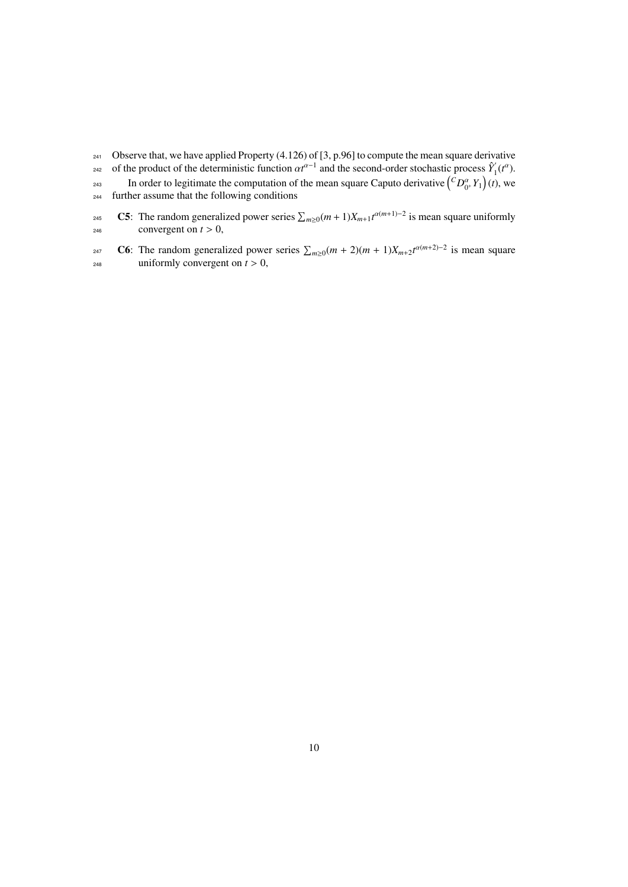- <sup>241</sup> Observe that, we have applied Property (4.126) of [3, p.96] to compute the mean square derivative of the product of the deterministic function  $\alpha t^{\alpha-1}$  and the second-order stochastic process  $\hat{Y}_1$ <sup>242</sup> of the product of the deterministic function  $\alpha t^{\alpha-1}$  and the second-order stochastic process  $Y_1(t^{\alpha})$ . In order to legitimate the computation of the mean square Caputo derivative  $\left({}^C D_{0^+}^\alpha Y_1\right)(t)$ , we <sup>244</sup> further assume that the following conditions
- 245 **C5**: The random generalized power series  $\sum_{m\geq 0} (m+1)X_{m+1}t^{\alpha(m+1)-2}$  is mean square uniformly <sup>246</sup> convergent on  $t > 0$ ,
- 247 **C6**: The random generalized power series  $\sum_{m\geq 0} (m+2)(m+1)X_{m+2}t^{\alpha(m+2)-2}$  is mean square  $_{248}$  uniformly convergent on  $t > 0$ ,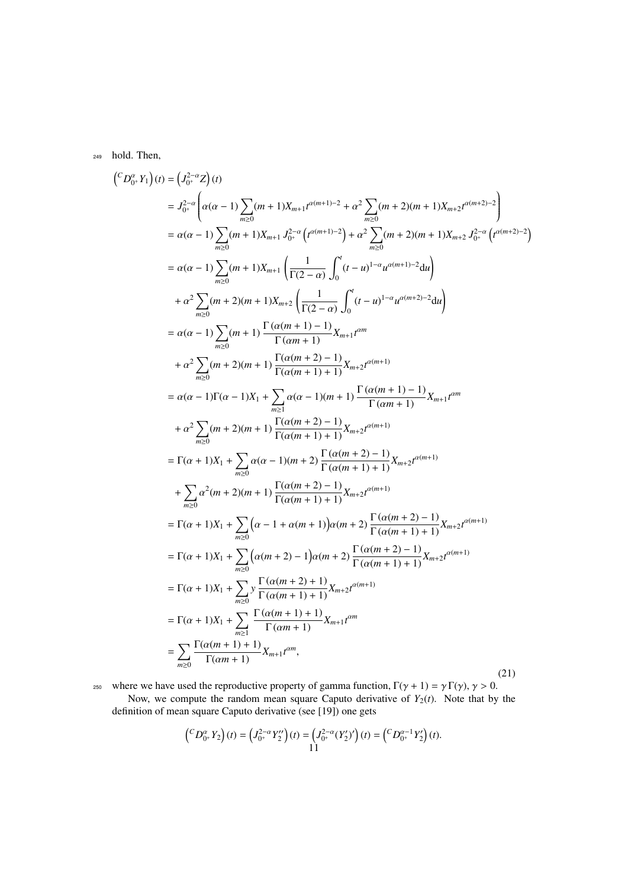<sup>249</sup> hold. Then,

$$
(^{C}D_{0}^{\alpha}, Y_{1})(t) = (J_{0}^{2-\alpha}Z)(t)
$$
\n
$$
= J_{0}^{2-\alpha} \left( \alpha(\alpha - 1) \sum_{m\geq 0} (m + 1)X_{m+1}t^{\alpha(m+1)-2} + \alpha^{2} \sum_{m\geq 0} (m + 2)(m + 1)X_{m+2}t^{\alpha(m+2)-2} \right)
$$
\n
$$
= \alpha(\alpha - 1) \sum_{m\geq 0} (m + 1)X_{m+1} J_{0}^{2-\alpha} \left( t^{\alpha(m+1)-2} \right) + \alpha^{2} \sum_{m\geq 0} (m + 2)(m + 1)X_{m+2} J_{0}^{2-\alpha} \left( t^{\alpha(m+2)-2} \right)
$$
\n
$$
= \alpha(\alpha - 1) \sum_{m\geq 0} (m + 1)X_{m+1} \left( \frac{1}{\Gamma(2-\alpha)} \int_{0}^{t} (t-u)^{1-\alpha} u^{\alpha(m+1)-2} du \right)
$$
\n
$$
+ \alpha^{2} \sum_{m\geq 0} (m + 2)(m + 1) \sum_{m\geq 1} \left( \frac{1}{\Gamma(2-\alpha)} \int_{0}^{t} (t-u)^{1-\alpha} u^{\alpha(m+2)-2} du \right)
$$
\n
$$
= \alpha(\alpha - 1) \sum_{m\geq 0} (m + 1) \frac{\Gamma(\alpha(m + 1) - 1)}{\Gamma(\alpha m + 1)} X_{m+1} t^{am}
$$
\n
$$
+ \alpha^{2} \sum_{m\geq 0} (m + 2)(m + 1) \frac{\Gamma(\alpha(m + 2) - 1)}{\Gamma(\alpha(m + 1) + 1)} X_{m+2} t^{\alpha(m+1)}
$$
\n
$$
= \alpha(\alpha - 1) \Gamma(\alpha - 1)X_{1} + \sum_{m\geq 1} \alpha(\alpha - 1)(m + 1) \frac{\Gamma(\alpha(m + 1) - 1)}{\Gamma(\alpha m + 1)} X_{m+1} t^{am}
$$
\n
$$
+ \alpha^{2} \sum_{m\geq 0} (m + 2)(m + 1) \frac{\Gamma(\alpha(m + 2) - 1)}{\Gamma(\alpha(m + 1) + 1)} X_{m+2} t^{\alpha(m+1)}
$$
\n $$ 

where we have used the reproductive property of gamma function,  $\Gamma(\gamma + 1) = \gamma \Gamma(\gamma)$ ,  $\gamma > 0$ .<br>Now, we compute the random mean square Caputo derivative of *Y*<sub>2</sub>(*t*). Note that by the definition of mean square Caputo derivative (see [19]) one gets

$$
\left({}^C D^\alpha_{0^+} Y_2\right)(t) = \left(J^{2-\alpha}_{0^+} Y_2''\right)(t) = \left(J^{2-\alpha}_{0^+} (Y_2')'\right)(t) = \left({}^C D^{\alpha-1}_{0^+} Y_2'\right)(t).
$$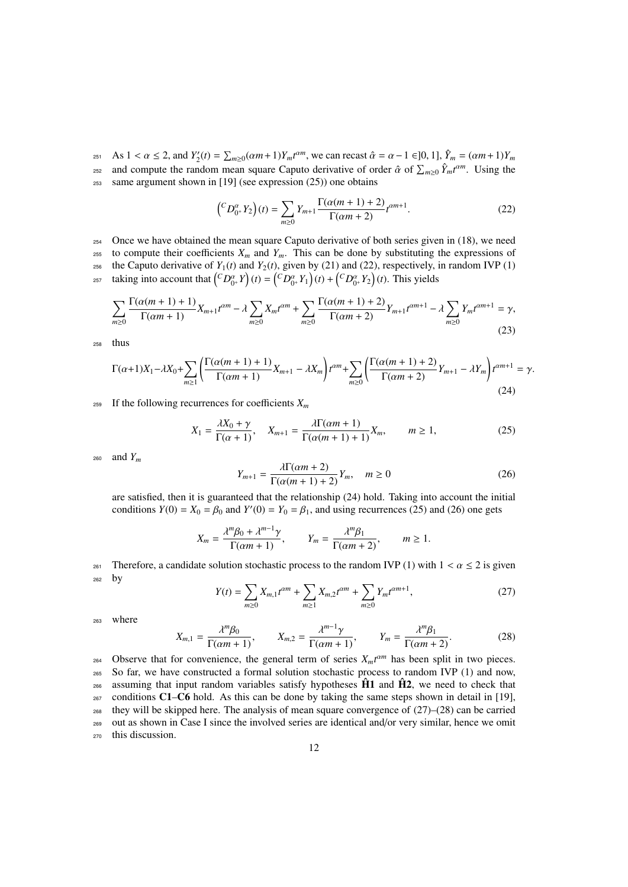As  $1 < \alpha \le 2$ , and  $Y_2'(t) = \sum_{m\ge0} (\alpha m + 1) Y_m t^{\alpha m}$ , we can recast  $\hat{\alpha} = \alpha - 1 \in ]0, 1]$ ,  $\hat{Y}_m = (\alpha m + 1) Y_m$ <br>and compute the random mean square Caputo derivative of order  $\hat{\alpha}$  of  $\sum_{n=1}^{\infty} \hat{X}_n \hat{\alpha}^m$ . Using the and compute the random mean square Caputo derivative of order  $\hat{\alpha}$  of  $\sum_{m\geq 0} \hat{Y}_m t^{\alpha m}$ . Using the same aroument shown in [19] (see expression (25)) one obtains <sup>253</sup> same argument shown in [19] (see expression (25)) one obtains

$$
\left({}^{C}D_{0^+}^{\alpha}Y_2\right)(t) = \sum_{m\geq 0} Y_{m+1} \frac{\Gamma(\alpha(m+1)+2)}{\Gamma(\alpha m+2)} t^{\alpha m+1}.
$$
 (22)

<sup>254</sup> Once we have obtained the mean square Caputo derivative of both series given in (18), we need <sup>255</sup> to compute their coefficients  $X_m$  and  $Y_m$ . This can be done by substituting the expressions of <sup>256</sup> the Caputo derivative of  $Y_1(t)$  and  $Y_2(t)$ , given by (21) and (22), respectively, in random IVP (1) taking into account that  $\left(CD_{0^+}^{\alpha}Y\right)(t) = \left(CD_{0^+}^{\alpha}Y_1\right)(t) + \left(CD_{0^+}^{\alpha}Y_2\right)(t)$ . This yields

$$
\sum_{m\geq 0} \frac{\Gamma(\alpha(m+1)+1)}{\Gamma(\alpha m+1)} X_{m+1} t^{\alpha m} - \lambda \sum_{m\geq 0} X_m t^{\alpha m} + \sum_{m\geq 0} \frac{\Gamma(\alpha(m+1)+2)}{\Gamma(\alpha m+2)} Y_{m+1} t^{\alpha m+1} - \lambda \sum_{m\geq 0} Y_m t^{\alpha m+1} = \gamma,
$$
\n(23)

<sup>258</sup> thus

$$
\Gamma(\alpha+1)X_1 - \lambda X_0 + \sum_{m \ge 1} \left( \frac{\Gamma(\alpha(m+1)+1)}{\Gamma(\alpha m+1)} X_{m+1} - \lambda X_m \right) t^{\alpha m} + \sum_{m \ge 0} \left( \frac{\Gamma(\alpha(m+1)+2)}{\Gamma(\alpha m+2)} Y_{m+1} - \lambda Y_m \right) t^{\alpha m+1} = \gamma.
$$
\n(24)

<sup>259</sup> If the following recurrences for coefficients *X<sup>m</sup>*

$$
X_1 = \frac{\lambda X_0 + \gamma}{\Gamma(\alpha + 1)}, \quad X_{m+1} = \frac{\lambda \Gamma(\alpha m + 1)}{\Gamma(\alpha(m + 1) + 1)} X_m, \qquad m \ge 1,
$$
\n
$$
(25)
$$

<sup>260</sup> and *Y<sup>m</sup>*

$$
Y_{m+1} = \frac{\lambda \Gamma(\alpha m + 2)}{\Gamma(\alpha(m+1) + 2)} Y_m, \quad m \ge 0
$$
\n
$$
(26)
$$

are satisfied, then it is guaranteed that the relationship (24) hold. Taking into account the initial conditions  $Y(0) = X_0 = \beta_0$  and  $Y'(0) = Y_0 = \beta_1$ , and using recurrences (25) and (26) one gets

$$
X_m = \frac{\lambda^m \beta_0 + \lambda^{m-1} \gamma}{\Gamma(\alpha m + 1)}, \qquad Y_m = \frac{\lambda^m \beta_1}{\Gamma(\alpha m + 2)}, \qquad m \ge 1.
$$

261 Therefore, a candidate solution stochastic process to the random IVP (1) with  $1 < \alpha \le 2$  is given by by

$$
Y(t) = \sum_{m\geq 0} X_{m,1} t^{\alpha m} + \sum_{m\geq 1} X_{m,2} t^{\alpha m} + \sum_{m\geq 0} Y_m t^{\alpha m+1},\tag{27}
$$

<sup>263</sup> where

$$
X_{m,1} = \frac{\lambda^m \beta_0}{\Gamma(\alpha m + 1)}, \qquad X_{m,2} = \frac{\lambda^{m-1} \gamma}{\Gamma(\alpha m + 1)}, \qquad Y_m = \frac{\lambda^m \beta_1}{\Gamma(\alpha m + 2)}.
$$
 (28)

Observe that for convenience, the general term of series  $X_m t^{\alpha m}$  has been split in two pieces. So far, we have constructed a formal solution stochastic process to random IVP (1) and now, assuming that input random variables satisfy hypotheses  $\hat{H}$ 1 and  $\hat{H}$ 2<sup> $\hat{H}$ </sup> we need to check that conditions C1–C6 hold. As this can be done by taking the same steps shown in detail in [19], they will be skipped here. The analysis of mean square convergence of  $(27)–(28)$  can be carried out as shown in Case I since the involved series are identical and/or very similar, hence we omit this discussion.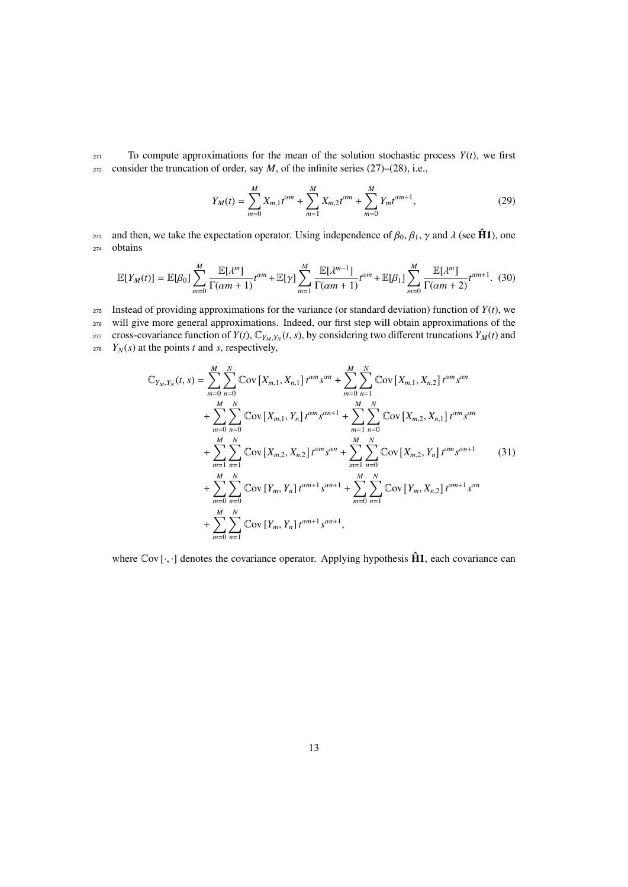$271$  To compute approximations for the mean of the solution stochastic process  $Y(t)$ , we first  $272$  consider the truncation of order, say *M*, of the infinite series (27)–(28), i.e.,

$$
Y_M(t) = \sum_{m=0}^{M} X_{m,1} t^{\alpha m} + \sum_{m=1}^{M} X_{m,2} t^{\alpha m} + \sum_{m=0}^{M} Y_m t^{\alpha m+1},
$$
 (29)

and then, we take the expectation operator. Using independence of  $β_0$ ,  $β_1$ ,  $γ$  and  $λ$  (see  $\hat{H}1$ ), one obtains obtains

$$
\mathbb{E}[Y_M(t)] = \mathbb{E}[\beta_0] \sum_{m=0}^M \frac{\mathbb{E}[\lambda^m]}{\Gamma(\alpha m + 1)} t^{\alpha m} + \mathbb{E}[\gamma] \sum_{m=1}^M \frac{\mathbb{E}[\lambda^{m-1}]}{\Gamma(\alpha m + 1)} t^{\alpha m} + \mathbb{E}[\beta_1] \sum_{m=0}^M \frac{\mathbb{E}[\lambda^m]}{\Gamma(\alpha m + 2)} t^{\alpha m + 1}.
$$
 (30)

275 Instead of providing approximations for the variance (or standard deviation) function of  $Y(t)$ , we <sup>276</sup> will give more general approximations. Indeed, our first step will obtain approximations of the cross-covariance function of  $Y(t)$ ,  $\mathbb{C}_{Y_M,Y_N}(t, s)$ , by considering two different truncations  $Y_M(t)$  and<br> $Y_M(s)$  at the points *t* and *s* respectively  $Y_N(s)$  at the points *t* and *s*, respectively,

$$
\mathbb{C}_{Y_M,Y_N}(t,s) = \sum_{m=0}^{M} \sum_{n=0}^{N} \mathbb{C}_{\text{OV}} \left[ X_{m,1}, X_{n,1} \right] t^{\alpha m} s^{\alpha n} + \sum_{m=0}^{M} \sum_{n=1}^{N} \mathbb{C}_{\text{OV}} \left[ X_{m,1}, X_{n,2} \right] t^{\alpha m} s^{\alpha n} + \sum_{m=0}^{M} \sum_{n=0}^{N} \mathbb{C}_{\text{OV}} \left[ X_{m,1}, Y_n \right] t^{\alpha m} s^{\alpha n+1} + \sum_{m=1}^{M} \sum_{n=0}^{N} \mathbb{C}_{\text{OV}} \left[ X_{m,2}, X_{n,1} \right] t^{\alpha m} s^{\alpha n} + \sum_{m=1}^{M} \sum_{n=1}^{N} \mathbb{C}_{\text{OV}} \left[ X_{m,2}, X_{n,1} \right] t^{\alpha m} s^{\alpha n} + \sum_{m=1}^{M} \sum_{n=0}^{N} \mathbb{C}_{\text{OV}} \left[ X_{m,2}, Y_n \right] t^{\alpha m} s^{\alpha n+1} + \sum_{m=0}^{M} \sum_{n=0}^{N} \mathbb{C}_{\text{OV}} \left[ Y_m, Y_n \right] t^{\alpha m+1} s^{\alpha n+1} + \sum_{m=0}^{M} \sum_{n=0}^{N} \mathbb{C}_{\text{OV}} \left[ Y_m, X_{n,2} \right] t^{\alpha m+1} s^{\alpha n} + \sum_{m=0}^{M} \sum_{n=1}^{N} \mathbb{C}_{\text{OV}} \left[ Y_m, Y_n \right] t^{\alpha m+1} s^{\alpha n+1},
$$
\n(31)

where  $\text{Cov}[\cdot,\cdot]$  denotes the covariance operator. Applying hypothesis  $\hat{H}1$ , each covariance can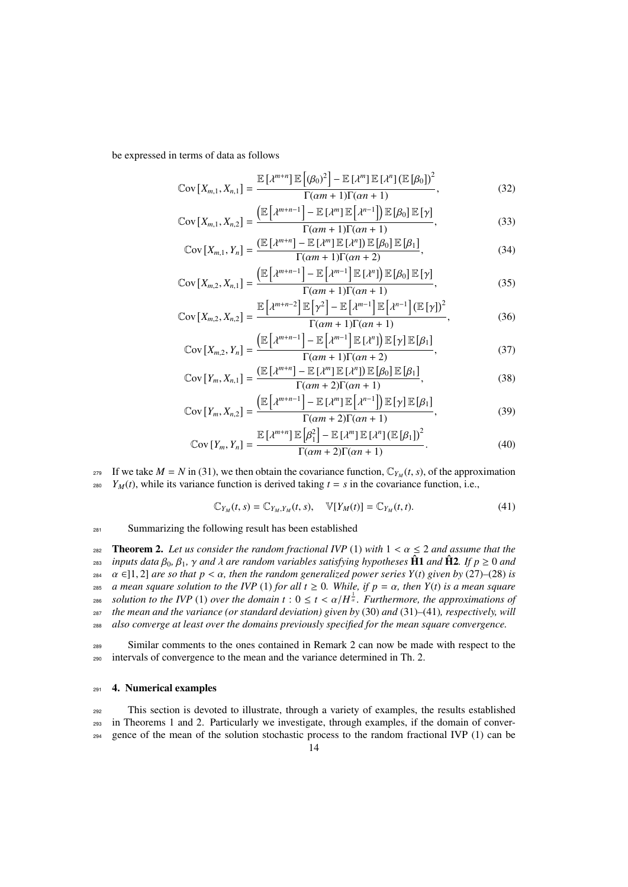be expressed in terms of data as follows

$$
\operatorname{Cov}\left[X_{m,1}, X_{n,1}\right] = \frac{\mathbb{E}\left[\lambda^{m+n}\right] \mathbb{E}\left[(\beta_0)^2\right] - \mathbb{E}\left[\lambda^m\right] \mathbb{E}\left[\lambda^n\right] \left(\mathbb{E}\left[\beta_0\right]\right)^2}{\Gamma(\alpha m + 1)\Gamma(\alpha n + 1)},\tag{32}
$$

$$
\mathbb{C}\text{ov}\left[X_{m,1}, X_{n,2}\right] = \frac{\left(\mathbb{E}\left[\lambda^{m+n-1}\right] - \mathbb{E}\left[\lambda^{m}\right]\mathbb{E}\left[\lambda^{n-1}\right]\right)\mathbb{E}\left[\beta_{0}\right]\mathbb{E}\left[\gamma\right]}{\Gamma(\alpha m+1)\Gamma(\alpha n+1)},
$$
\n
$$
\left(\mathbb{E}\left[\lambda^{m+n}\right] - \mathbb{E}\left[\lambda^{m}\right]\mathbb{E}\left[\lambda^{m}\right]\mathbb{E}\left[\beta\right]\mathbb{E}\left[\beta\right]\right],
$$
\n(33)

$$
\mathbb{C}\text{ov}\left[X_{m,1}, Y_n\right] = \frac{\left(\mathbb{E}\left[\lambda^{m+n}\right] - \mathbb{E}\left[\lambda^m\right]\mathbb{E}\left[\lambda^n\right]\right) \mathbb{E}\left[\beta_0\right] \mathbb{E}\left[\beta_1\right]}{\Gamma(\alpha m + 1)\Gamma(\alpha n + 2)},\tag{34}
$$

$$
\operatorname{Cov}\left[X_{m,2}, X_{n,1}\right] = \frac{\left(\mathbb{E}\left[\lambda^{m+n-1}\right] - \mathbb{E}\left[\lambda^{m-1}\right] \mathbb{E}\left[\lambda^{n}\right]\right) \mathbb{E}\left[\beta_{0}\right] \mathbb{E}\left[\gamma\right]}{\Gamma(\alpha m+1)\Gamma(\alpha n+1)},\tag{35}
$$

$$
\mathbb{C}\text{ov}\left[X_{m,2}, X_{n,2}\right] = \frac{\mathbb{E}\left[\lambda^{m+n-2}\right] \mathbb{E}\left[\gamma^2\right] - \mathbb{E}\left[\lambda^{m-1}\right] \mathbb{E}\left[\lambda^{n-1}\right] \left(\mathbb{E}\left[\gamma\right]\right)^2}{\Gamma(\alpha m+1)\Gamma(\alpha n+1)},\tag{36}
$$

$$
\mathbb{C}\text{ov}\left[X_{m,2}, Y_n\right] = \frac{\left(\mathbb{E}\left[\lambda^{m+n-1}\right] - \mathbb{E}\left[\lambda^{m-1}\right]\mathbb{E}\left[\lambda^n\right]\right) \mathbb{E}\left[\gamma\right] \mathbb{E}\left[\beta_1\right]}{\Gamma(\alpha m+1)\Gamma(\alpha n+2)},\tag{37}
$$

$$
\mathbb{C}\text{ov}\left[Y_m, X_{n,1}\right] = \frac{\left(\mathbb{E}\left[\lambda^{m+n}\right] - \mathbb{E}\left[\lambda^{m}\right]\mathbb{E}\left[\lambda^{n}\right]\right)\mathbb{E}\left[\beta_0\right]\mathbb{E}\left[\beta_1\right]}{\Gamma(\alpha m + 2)\Gamma(\alpha n + 1)},\tag{38}
$$

$$
\mathbb{C}\text{ov}\left[Y_m, X_{n,2}\right] = \frac{\left(\mathbb{E}\left[\lambda^{m+n-1}\right] - \mathbb{E}\left[\lambda^m\right]\mathbb{E}\left[\lambda^{n-1}\right]\right)\mathbb{E}\left[\gamma\right]\mathbb{E}\left[\beta_1\right]}{\Gamma(\alpha m+2)\Gamma(\alpha n+1)},\tag{39}
$$

$$
\operatorname{Cov}\left[Y_m, Y_n\right] = \frac{\mathbb{E}\left[\lambda^{m+n}\right]\mathbb{E}\left[\beta_1^2\right] - \mathbb{E}\left[\lambda^m\right]\mathbb{E}\left[\lambda^n\right]\left(\mathbb{E}\left[\beta_1\right]\right)^2}{\Gamma(\alpha m + 2)\Gamma(\alpha n + 1)}.\tag{40}
$$

If we take  $M = N$  in (31), we then obtain the covariance function,  $C_{Y_M}(t, s)$ , of the approximation<br>  $V_{Y_M}(t)$  while its variance function is derived taking  $t - s$  in the covariance function i.e.  $Y_M(t)$ , while its variance function is derived taking  $t = s$  in the covariance function, i.e.,

$$
\mathbb{C}_{Y_M}(t,s) = \mathbb{C}_{Y_M,Y_M}(t,s), \quad \mathbb{V}[Y_M(t)] = \mathbb{C}_{Y_M}(t,t). \tag{41}
$$

<sup>281</sup> Summarizing the following result has been established

**282 Theorem 2.** Let us consider the random fractional IVP (1) with  $1 < \alpha \le 2$  and assume that the <br>283 inputs data  $\beta_0$ ,  $\beta_1$ ,  $\gamma$  and  $\lambda$  are random variables satisfying hypotheses  $\hat{H}1$  and  $\hat{H}2$ . If  $p > 0$ *i*s *inputs data*  $\beta_0$ ,  $\beta_1$ ,  $\gamma$  *and*  $\lambda$  *are random variables satisfying hypotheses*  $\hat{\bf H}$ **1** *and*  $\hat{\bf H}$ **2***. If p*  $\geq 0$  *and*  $\alpha \in \mathbb{N}$  1. 21 *are so that*  $n < \alpha$ , then the random generalized powe <sup>284</sup> α ∈[1, 2] *are so that p* < α*, then the random generalized power series Y(t) given by* (27)–(28) *is a mean square solution to the IVP* (1) *for all t* ≥ 0. While, if *p* = α, then *Y(t) is a mean square* 285 *a mean square solution to the IVP* (1) *for all t*  $\geq$  0*. While, if*  $p = \alpha$ *, then Y*(*t*) *is a mean square*<br>286 *solution to the IVP* (1) *over the domain t* :  $0 < t < \alpha/H^{\frac{1}{\alpha}}$ *. Furthermore, the approximation solution to the IVP* (1) *over the domain*  $t : 0 \le t < \alpha/H^{\frac{1}{\alpha}}$ . Furthermore, the approximations of the mean and the variance (or standard deviation) given by (30) and (31)–(41) respectively will <sup>287</sup> *the mean and the variance (or standard deviation) given by* (30) *and* (31)*–*(41)*, respectively, will* <sup>288</sup> *also converge at least over the domains previously specified for the mean square convergence.*

<sup>289</sup> Similar comments to the ones contained in Remark 2 can now be made with respect to the <sup>290</sup> intervals of convergence to the mean and the variance determined in Th. 2.

#### <sup>291</sup> 4. Numerical examples

<sup>292</sup> This section is devoted to illustrate, through a variety of examples, the results established <sup>293</sup> in Theorems 1 and 2. Particularly we investigate, through examples, if the domain of conver-<sup>294</sup> gence of the mean of the solution stochastic process to the random fractional IVP (1) can be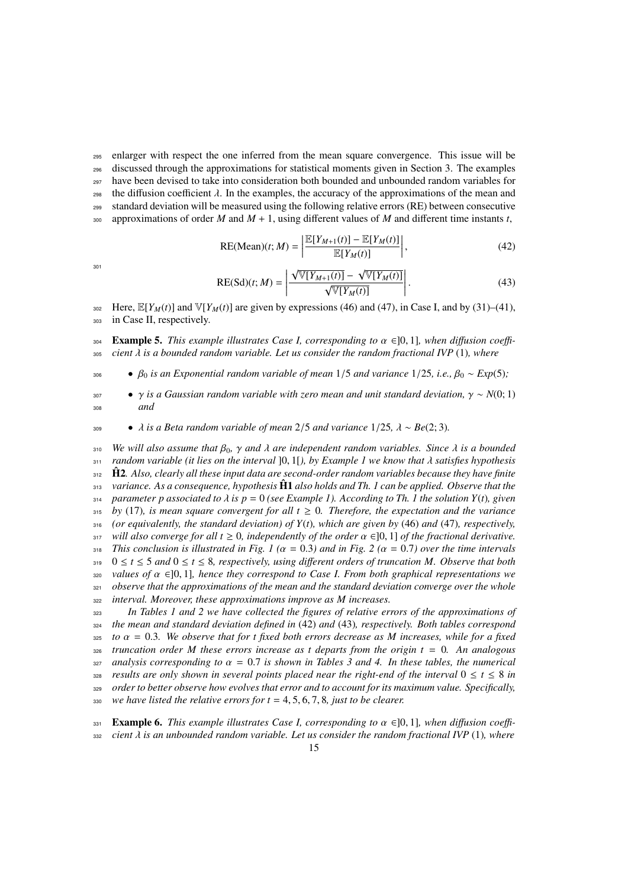<sup>295</sup> enlarger with respect the one inferred from the mean square convergence. This issue will be <sup>296</sup> discussed through the approximations for statistical moments given in Section 3. The examples  $297$  have been devised to take into consideration both bounded and unbounded random variables for 298 the diffusion coefficient  $\lambda$ . In the examples, the accuracy of the approximations of the mean and standard deviation will be measured using the following relative errors (RE) between consecutive standard deviation will be measured using the following relative errors (RE) between consecutive 300 approximations of order  $M$  and  $M + 1$ , using different values of  $M$  and different time instants  $t$ ,

 $100000$ 

$$
^{301}
$$

RE(Mean)(t; M) = 
$$
\left| \frac{\mathbb{E}[Y_{M+1}(t)] - \mathbb{E}[Y_M(t)]}{\mathbb{E}[Y_M(t)]} \right|,
$$
 (42)

$$
RE(Sd)(t; M) = \left| \frac{\sqrt{\mathbb{V}[Y_{M+1}(t)]} - \sqrt{\mathbb{V}[Y_M(t)]}}{\sqrt{\mathbb{V}[Y_M(t)]}} \right|.
$$
\n(43)

302 Here,  $\mathbb{E}[Y_M(t)]$  and  $\mathbb{V}[Y_M(t)]$  are given by expressions (46) and (47), in Case I, and by (31)–(41), <sup>303</sup> in Case II, respectively.

**Example 5.** *This example illustrates Case I, corresponding to*  $\alpha \in ]0, 1]$ *, when diffusion coeffi-*  $\alpha$  *as ightarrow in a diffusion coeffi-*  $\alpha$  *as ightarrow in a diffusion coeffi* $cient \lambda$  *is a bounded random variable. Let us consider the random fractional IVP* (1)*, where* 

<sup>306</sup> • <sup>β</sup><sup>0</sup> *is an Exponential random variable of mean* <sup>1</sup>/<sup>5</sup> *and variance* <sup>1</sup>/25*, i.e.,* <sup>β</sup><sup>0</sup> <sup>∼</sup> *Exp*(5)*;*

<sup>307</sup> • γ *is a Gaussian random variable with zero mean and unit standard deviation,* γ <sup>∼</sup> *<sup>N</sup>*(0; 1) <sup>308</sup> *and*

<sup>309</sup> • λ *is a Beta random variable of mean* <sup>2</sup>/<sup>5</sup> *and variance* <sup>1</sup>/25*,* λ <sup>∼</sup> *Be*(2; 3)*.*

<sup>310</sup> *We will also assume that*  $β_0$ , γ *and*  $λ$  *are independent random variables. Since*  $λ$  *is a bounded*<br><sup>311</sup> *random variable (it lies on the interval* 10, 11), by Example 1 we know that  $λ$  satisfies hypothesis *random variable (it lies on the interval* ]0, 1[*), by Example 1 we know that* λ *satisfies hypothesis* **H2**. Also, clearly all these input data are second-order random variables because they have finite *variance. As a consequence, hypothesis* <sup>313</sup> H1ˆ *also holds and Th. 1 can be applied. Observe that the parameter p associated to*  $\lambda$  *is p* = 0 *(see Example 1). According to Th. 1 the solution Y(t), given*  $\lambda$ <sub>315</sub> *by* (17). *is mean square convergent for all t* > 0. *Therefore, the expectation and the variance* by (17)*, is mean square convergent for all t*  $\geq$  0*. Therefore, the expectation and the variance (or equivalently, the standard deviation) of Y*(*t*)*, which are given by* (46) *and* (47)*, respectively, will also converge for all t*  $\geq 0$ , independently of the order  $\alpha \in ]0,1]$  of the fractional derivative.<br>318 *This conclusion is illustrated in Fig. 1 (* $\alpha = 0.3$ *) and in Fig. 2 (* $\alpha = 0.7$ *) over the time intervals This conclusion is illustrated in Fig. 1 (*α <sup>=</sup> <sup>0</sup>.3*) and in Fig. 2 (*α <sup>=</sup> <sup>0</sup>.7*) over the time intervals* 0 ≤ *t* ≤ 5 *and* 0 ≤ *t* ≤ 8*, respectively, using di*ff*erent orders of truncation M. Observe that both*  $\alpha$ <sup>320</sup> *values of*  $\alpha \in ]0, 1]$ *, hence they correspond to Case I. From both graphical representations we*<br><sup>321</sup> *observe that the approximations of the mean and the standard deviation converge over the whole observe that the approximations of the mean and the standard deviation converge over the whole interval. Moreover, these approximations improve as M increases.*

 *In Tables 1 and 2 we have collected the figures of relative errors of the approximations of the mean and standard deviation defined in* (42) *and* (43)*, respectively. Both tables correspond to*  $\alpha = 0.3$ *. We observe that for t fixed both errors decrease as M increases, while for a fixed*  $326$  *truncation order M these errors increase as t departs from the origin t* = 0. An analogous  $truncation order M$  these errors increase as t departs from the origin  $t = 0$ . An analogous *analysis corresponding to*  $\alpha = 0.7$  *is shown in Tables 3 and 4. In these tables, the numerical*<br>328 *results are only shown in several points placed near the right-end of the interval*  $0 \le t \le 8$  *in results are only shown in several points placed near the right-end of the interval*  $0 \le t \le 8$  *in order to better observe how evolves that error and to account for its maximum value. Specifically, we have listed the relative errors for t* <sup>=</sup> <sup>4</sup>, <sup>5</sup>, <sup>6</sup>, <sup>7</sup>, <sup>8</sup>*, just to be clearer.*

**Example 6.** *This example illustrates Case I, corresponding to*  $\alpha \in ]0, 1]$ *, when diffusion coeffi*-<br>*ssa cient*  $\lambda$  *is an unbounded random variable. Let us consider the random fractional IVP* (1)*, where*  $cient \lambda$  *is an unbounded random variable. Let us consider the random fractional IVP* (1)*, where*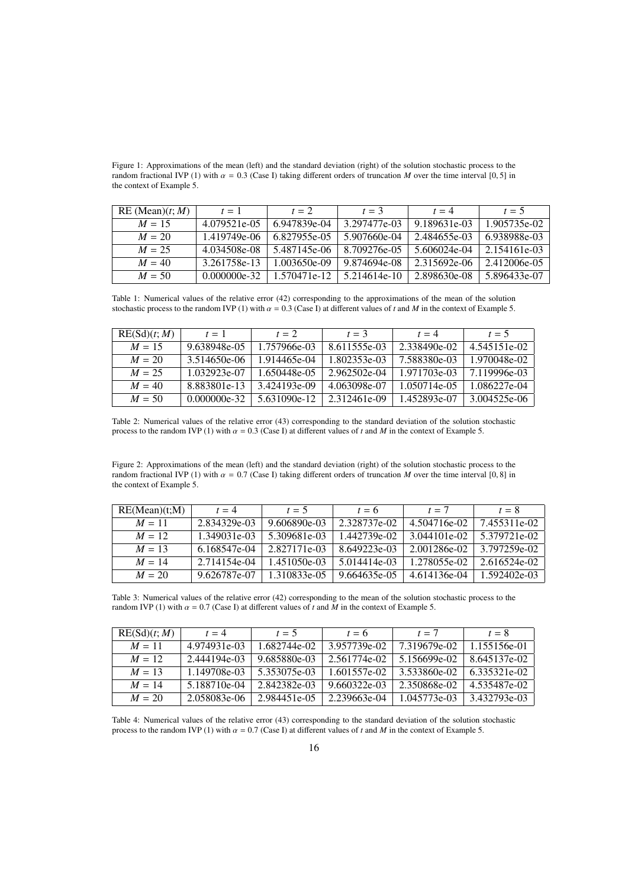Figure 1: Approximations of the mean (left) and the standard deviation (right) of the solution stochastic process to the random fractional IVP (1) with  $\alpha = 0.3$  (Case I) taking different orders of truncation *M* over the time interval [0, 5] in the context of Example 5.

| RE(Mean)(t; M) | $t=1$        | $t=2$        | $t=3$        | $t = 4$      | $t=5$        |
|----------------|--------------|--------------|--------------|--------------|--------------|
| $M = 15$       | 4.079521e-05 | 6.947839e-04 | 3.297477e-03 | 9.189631e-03 | 1.905735e-02 |
| $M = 20$       | 1.419749e-06 | 6.827955e-05 | 5.907660e-04 | 2.484655e-03 | 6.938988e-03 |
| $M = 25$       | 4.034508e-08 | 5.487145e-06 | 8.709276e-05 | 5.606024e-04 | 2.154161e-03 |
| $M = 40$       | 3.261758e-13 | 1.003650e-09 | 9.874694e-08 | 2.315692e-06 | 2.412006e-05 |
| $M = 50$       | 0.000000e-32 | 1.570471e-12 | 5.214614e-10 | 2.898630e-08 | 5.896433e-07 |

Table 1: Numerical values of the relative error (42) corresponding to the approximations of the mean of the solution stochastic process to the random IVP (1) with  $\alpha = 0.3$  (Case I) at different values of *t* and *M* in the context of Example 5.

| RE(Sd)(t; M) | $t=1$          | $t=2$        | $t=3$        | $t = 4$      | $t=5$        |
|--------------|----------------|--------------|--------------|--------------|--------------|
| $M = 15$     | 9.638948e-05   | 1.757966e-03 | 8.611555e-03 | 2.338490e-02 | 4.545151e-02 |
| $M = 20$     | 3.514650e-06   | 1.914465e-04 | 1.802353e-03 | 7.588380e-03 | 1.970048e-02 |
| $M = 25$     | 1.032923e-07   | 1.650448e-05 | 2.962502e-04 | 1.971703e-03 | 7.119996e-03 |
| $M = 40$     | 8.883801e-13   | 3.424193e-09 | 4.063098e-07 | 1.050714e-05 | 1.086227e-04 |
| $M = 50$     | $0.000000e-32$ | 5.631090e-12 | 2.312461e-09 | 1.452893e-07 | 3.004525e-06 |

Table 2: Numerical values of the relative error (43) corresponding to the standard deviation of the solution stochastic process to the random IVP (1) with  $\alpha = 0.3$  (Case I) at different values of *t* and *M* in the context of Example 5.

Figure 2: Approximations of the mean (left) and the standard deviation (right) of the solution stochastic process to the random fractional IVP (1) with  $\alpha = 0.7$  (Case I) taking different orders of truncation *M* over the time interval [0, 8] in the context of Example 5.

| RE(Mean)(t;M) | $t = 4$      | $t = 5$      | $t=6$        | $t=7$        | $t=8$        |
|---------------|--------------|--------------|--------------|--------------|--------------|
| $M = 11$      | 2.834329e-03 | 9.606890e-03 | 2.328737e-02 | 4.504716e-02 | 7.455311e-02 |
| $M = 12$      | 1.349031e-03 | 5.309681e-03 | 1.442739e-02 | 3.044101e-02 | 5.379721e-02 |
| $M = 13$      | 6.168547e-04 | 2.827171e-03 | 8.649223e-03 | 2.001286e-02 | 3.797259e-02 |
| $M = 14$      | 2.714154e-04 | 1.451050e-03 | 5.014414e-03 | 1.278055e-02 | 2.616524e-02 |
| $M = 20$      | 9.626787e-07 | 1.310833e-05 | 9.664635e-05 | 4.614136e-04 | 1.592402e-03 |

Table 3: Numerical values of the relative error (42) corresponding to the mean of the solution stochastic process to the random IVP (1) with  $\alpha = 0.7$  (Case I) at different values of *t* and *M* in the context of Example 5.

| RE(Sd)(t; M) | $t = 4$      | $t=5$        | $t=6$        | $t = 7$      | $t=8$        |
|--------------|--------------|--------------|--------------|--------------|--------------|
| $M = 11$     | 4.974931e-03 | 1.682744e-02 | 3.957739e-02 | 7.319679e-02 | 1.155156e-01 |
| $M = 12$     | 2.444194e-03 | 9.685880e-03 | 2.561774e-02 | 5.156699e-02 | 8.645137e-02 |
| $M = 13$     | 1.149708e-03 | 5.353075e-03 | 1.601557e-02 | 3.533860e-02 | 6.335321e-02 |
| $M = 14$     | 5.188710e-04 | 2.842382e-03 | 9.660322e-03 | 2.350868e-02 | 4.535487e-02 |
| $M = 20$     | 2.058083e-06 | 2.984451e-05 | 2.239663e-04 | 1.045773e-03 | 3.432793e-03 |

Table 4: Numerical values of the relative error (43) corresponding to the standard deviation of the solution stochastic process to the random IVP (1) with  $\alpha = 0.7$  (Case I) at different values of *t* and *M* in the context of Example 5.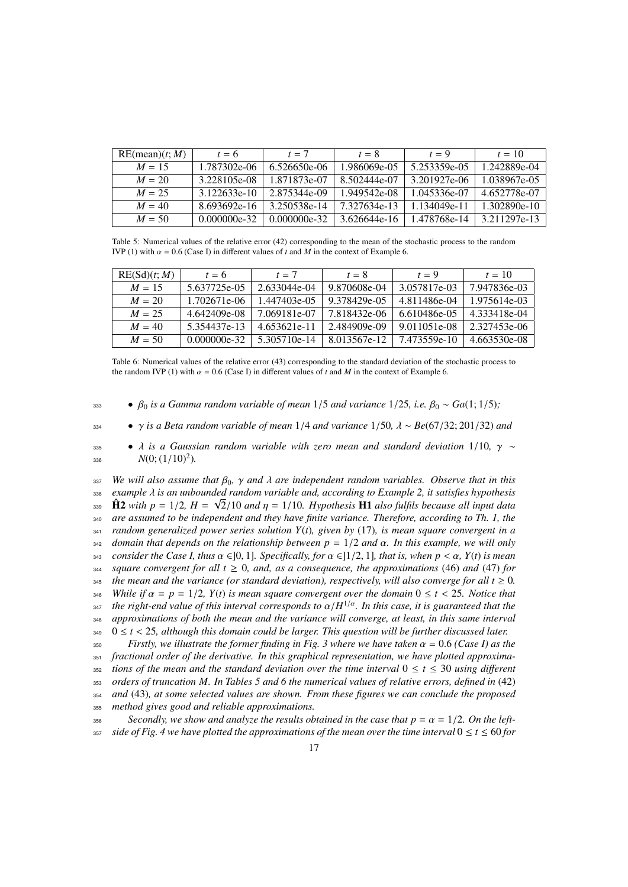| RE(mean)(t; M) | $t=6$        | $t=7$           | $t=8$        | $t=9$        | $t = 10$     |
|----------------|--------------|-----------------|--------------|--------------|--------------|
| $M = 15$       | 1.787302e-06 | 6.526650e-06    | 1.986069e-05 | 5.253359e-05 | 1.242889e-04 |
| $M = 20$       | 3.228105e-08 | 1.871873e-07    | 8.502444e-07 | 3.201927e-06 | 1.038967e-05 |
| $M = 25$       | 3.122633e-10 | 2.875344e-09    | 1.949542e-08 | 1.045336e-07 | 4.652778e-07 |
| $M = 40$       | 8.693692e-16 | 3.250538e-14    | 7.327634e-13 | 1.134049e-11 | 1.302890e-10 |
| $M = 50$       | 0.000000e-32 | $0.000000e-32.$ | 3.626644e-16 | 1.478768e-14 | 3.211297e-13 |

Table 5: Numerical values of the relative error (42) corresponding to the mean of the stochastic process to the random IVP (1) with  $\alpha = 0.6$  (Case I) in different values of *t* and *M* in the context of Example 6.

| RE(Sd)(t; M) | $t=6$        | $t=7$        | $t=8$        | $t=9$        | $t = 10$     |
|--------------|--------------|--------------|--------------|--------------|--------------|
| $M = 15$     | 5.637725e-05 | 2.633044e-04 | 9.870608e-04 | 3.057817e-03 | 7.947836e-03 |
| $M = 20$     | 1.702671e-06 | 1.447403e-05 | 9.378429e-05 | 4.811486e-04 | 1.975614e-03 |
| $M = 25$     | 4.642409e-08 | 7.069181e-07 | 7.818432e-06 | 6.610486e-05 | 4.333418e-04 |
| $M = 40$     | 5.354437e-13 | 4.653621e-11 | 2.484909e-09 | 9.011051e-08 | 2.327453e-06 |
| $M = 50$     | 0.000000e-32 | 5.305710e-14 | 8.013567e-12 | 7.473559e-10 | 4.663530e-08 |

Table 6: Numerical values of the relative error (43) corresponding to the standard deviation of the stochastic process to the random IVP (1) with  $\alpha = 0.6$  (Case I) in different values of t and M in the context of Example 6.

•  $β_0$  *is a Gamma random variable of mean*  $1/5$  *and variance*  $1/25$ *, i.e.*  $β_0 \sim Ga(1; 1/5)$ *;* 

<sup>334</sup> • γ *is a Beta random variable of mean* <sup>1</sup>/<sup>4</sup> *and variance* <sup>1</sup>/50*,* λ <sup>∼</sup> *Be*(67/32; 201/32) *and*

•  $\lambda$  *is a Gaussian random variable with zero mean and standard deviation* 1/10*, γ* ∼<br><sup>326</sup> *N*(0·(1/10)<sup>2</sup>) 336  $N(0;(1/10)^2)$ .

<sup>337</sup> *We will also assume that*  $β_0$ ,  $γ$  *and*  $λ$  *are independent random variables. Observe that in this*<br><sup>338</sup> *example*  $λ$  *is an unbounded random variable and. according to Example* 2, *it satisfies hypothesis example λ* is an unbounded random variable and, according to Example 2, it satisfies hypothesis<br> **← H 2** with n – 1/2 H –  $\sqrt{2}$ /10 and n – 1/10 Hypothesis **H1** also fulfils because all input data  $\hat{H}$ 2 *with p* = 1/2*, H* =  $\sqrt{2}/10$  *and*  $\eta$  = 1/10*. Hypothesis*  $\hat{H}$ 1 *also fulfils because all input data*<br>as a dreasumed to be independent and they have finite variance. Therefore, according to Th, 1, the *are assumed to be independent and they have finite variance. Therefore, according to Th. 1, the random generalized power series solution Y*(*t*)*, given by* (17)*, is mean square convergent in a domain that depends on the relationship between p* <sup>=</sup> <sup>1</sup>/<sup>2</sup> *and* α*. In this example, we will only consider the Case I, thus* α <sup>∈</sup>]0, 1]*. Specifically, for* α <sup>∈</sup>]1/2, 1]*, that is, when p* < α*, Y*(*t*) *is mean* square convergent for all  $t \geq 0$ , and, as a consequence, the approximations (46) and (47) for *the mean and the variance (or standard deviation), respectively, will also converge for all*  $t \ge 0$ *. While if*  $\alpha = p = 1/2$ *, Y(t) is mean square convergent over the domain*  $0 \le t < 25$ *. Notice that the right-end value of this interval corresponds to*  $\alpha/H^{1/\alpha}$ *. In this case, it is guaranteed that the the right-end value of this interval corresponds to* α/*<sup>H</sup>* 1/α <sup>347</sup> *. In this case, it is guaranteed that the approximations of both the mean and the variance will converge, at least, in this same interval* 349 0  $\leq t$  < 25, although this domain could be larger. This question will be further discussed later.<br>Firstly we illustrate the former finding in Fig. 3 where we have taken  $\alpha = 0.6$  (Case I) as the

 *Firstly, we illustrate the former finding in Fig. 3 where we have taken* α <sup>=</sup> <sup>0</sup>.<sup>6</sup> *(Case I) as the fractional order of the derivative. In this graphical representation, we have plotted approxima-tions of the mean and the standard deviation over the time interval*  $0 \le t \le 30$  *using different orders of truncation M. In Tables 5 and 6 the numerical values of relative errors, defined in* (42) *and* (43)*, at some selected values are shown. From these figures we can conclude the proposed method gives good and reliable approximations.*

356 *Secondly, we show and analyze the results obtained in the case that*  $p = \alpha = 1/2$ *. On the left-*<br>357 *side of Fig. 4 we have plotted the approximations of the mean over the time interval*  $0 \le t \le 60$  for side of Fig. 4 we have plotted the approximations of the mean over the time interval  $0 \le t \le 60$  for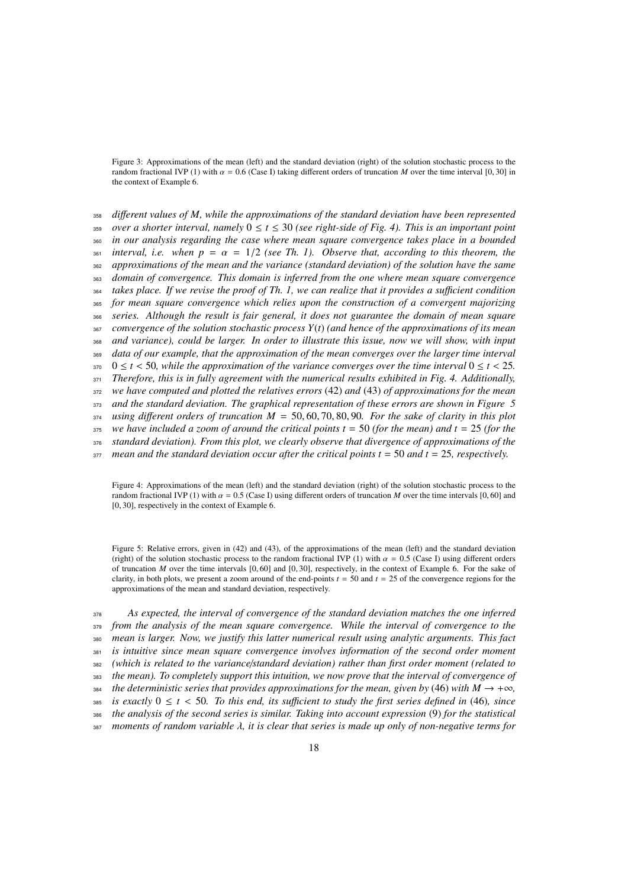Figure 3: Approximations of the mean (left) and the standard deviation (right) of the solution stochastic process to the random fractional IVP (1) with  $\alpha = 0.6$  (Case I) taking different orders of truncation *M* over the time interval [0, 30] in the context of Example 6.

 *di*ff*erent values of M, while the approximations of the standard deviation have been represented over a shorter interval, namely* 0 ≤ *t* ≤ 30 *(see right-side of Fig. 4). This is an important point in our analysis regarding the case where mean square convergence takes place in a bounded interval, i.e. when*  $p = \alpha = 1/2$  *(see Th. 1). Observe that, according to this theorem, the* approximations of the mean and the variance *(standard deviation)* of the solution have the same *approximations of the mean and the variance (standard deviation) of the solution have the same domain of convergence. This domain is inferred from the one where mean square convergence takes place. If we revise the proof of Th. 1, we can realize that it provides a su*ffi*cient condition for mean square convergence which relies upon the construction of a convergent majorizing series. Although the result is fair general, it does not guarantee the domain of mean square convergence of the solution stochastic process Y*(*t*) *(and hence of the approximations of its mean and variance), could be larger. In order to illustrate this issue, now we will show, with input data of our example, that the approximation of the mean converges over the larger time interval*  $370 \le t < 50$ , while the approximation of the variance converges over the time interval  $0 \le t < 25$ .<br>Therefore, this is in fully agreement with the numerical results exhibited in Fig. 4. Additionally *Therefore, this is in fully agreement with the numerical results exhibited in Fig. 4. Additionally, we have computed and plotted the relatives errors* (42) *and* (43) *of approximations for the mean and the standard deviation. The graphical representation of these errors are shown in Figure 5 using di*ff*erent orders of truncation M* <sup>=</sup> <sup>50</sup>, <sup>60</sup>, <sup>70</sup>, <sup>80</sup>, <sup>90</sup>*. For the sake of clarity in this plot* we have included a zoom of around the critical points  $t = 50$  (for the mean) and  $t = 25$  (for the *standard deviation). From this plot, we clearly observe that divergence of approximations of the mean and the standard deviation occur after the critical points t* = 50 *and t* = 25*, respectively.* 

Figure 4: Approximations of the mean (left) and the standard deviation (right) of the solution stochastic process to the random fractional IVP (1) with  $\alpha = 0.5$  (Case I) using different orders of truncation *M* over the time intervals [0, 60] and [0, 30], respectively in the context of Example 6.

Figure 5: Relative errors, given in (42) and (43), of the approximations of the mean (left) and the standard deviation (right) of the solution stochastic process to the random fractional IVP (1) with  $\alpha = 0.5$  (Case I) using different orders of truncation *<sup>M</sup>* over the time intervals [0, 60] and [0, 30], respectively, in the context of Example 6. For the sake of clarity, in both plots, we present a zoom around of the end-points  $t = 50$  and  $t = 25$  of the convergence regions for the approximations of the mean and standard deviation, respectively.

 *As expected, the interval of convergence of the standard deviation matches the one inferred from the analysis of the mean square convergence. While the interval of convergence to the mean is larger. Now, we justify this latter numerical result using analytic arguments. This fact is intuitive since mean square convergence involves information of the second order moment (which is related to the variance*/*standard deviation) rather than first order moment (related to the mean). To completely support this intuition, we now prove that the interval of convergence of the deterministic series that provides approximations for the mean, given by* (46) *with*  $M \rightarrow +\infty$ *, is exactly*  $0 \le t < 50$ *. To this end, its sufficient to study the first series defined in* (46)*, since*<br>386 *the analysis of the second series is similar. Taking into account expression* (9) for the statistical *the analysis of the second series is similar. Taking into account expression* (9) *for the statistical moments of random variable* λ*, it is clear that series is made up only of non-negative terms for*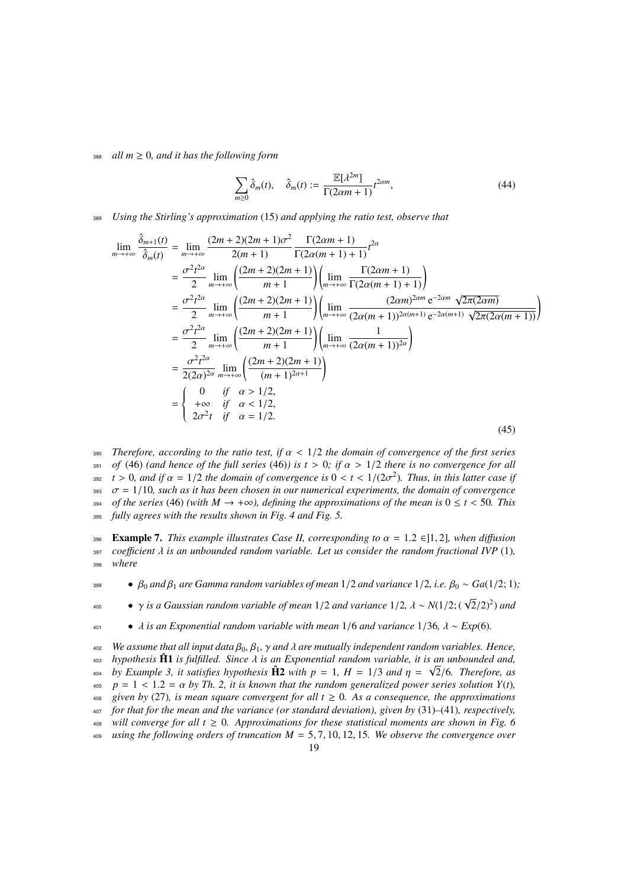388 *all*  $m \geq 0$ , and it has the following form

$$
\sum_{m\geq 0} \hat{\delta}_m(t), \quad \hat{\delta}_m(t) := \frac{\mathbb{E}[\lambda^{2m}]}{\Gamma(2\alpha m + 1)} t^{2\alpha m},\tag{44}
$$

<sup>389</sup> *Using the Stirling's approximation* (15) *and applying the ratio test, observe that*

$$
\lim_{m \to +\infty} \frac{\hat{\delta}_{m+1}(t)}{\hat{\delta}_{m}(t)} = \lim_{m \to +\infty} \frac{(2m+2)(2m+1)\sigma^{2}}{2(m+1)} \frac{\Gamma(2\alpha m+1)}{\Gamma(2\alpha(m+1)+1)} t^{2\alpha}
$$
\n
$$
= \frac{\sigma^{2} t^{2\alpha}}{2} \lim_{m \to +\infty} \left( \frac{(2m+2)(2m+1)}{m+1} \right) \left( \lim_{m \to +\infty} \frac{\Gamma(2\alpha m+1)}{\Gamma(2\alpha(m+1)+1)} \right)
$$
\n
$$
= \frac{\sigma^{2} t^{2\alpha}}{2} \lim_{m \to +\infty} \left( \frac{(2m+2)(2m+1)}{m+1} \right) \left( \lim_{m \to +\infty} \frac{(2\alpha m)^{2\alpha m} e^{-2\alpha m} \sqrt{2\pi (2\alpha m)}}{(2\alpha(m+1))^{2\alpha(m+1)} e^{-2\alpha(m+1)} \sqrt{2\pi (2\alpha(m+1))}} \right)
$$
\n
$$
= \frac{\sigma^{2} t^{2\alpha}}{2} \lim_{m \to +\infty} \left( \frac{(2m+2)(2m+1)}{m+1} \right) \left( \lim_{m \to +\infty} \frac{1}{(2\alpha(m+1))^{2\alpha}} \right)
$$
\n
$$
= \frac{\sigma^{2} t^{2\alpha}}{2(2\alpha)^{2\alpha}} \lim_{m \to +\infty} \left( \frac{(2m+2)(2m+1)}{(m+1)^{2\alpha+1}} \right)
$$
\n
$$
= \begin{cases} 0 & \text{if } \alpha > 1/2, \\ +\infty & \text{if } \alpha < 1/2, \\ 2\sigma^{2} t & \text{if } \alpha = 1/2. \end{cases}
$$
\n(45)

390 *Therefore, according to the ratio test, if*  $\alpha$  < 1/2 *the domain of convergence of the first series*<br>391 *of* (46) (and hence of the full series (46)) is  $t > 0$ ; if  $\alpha > 1/2$  there is no convergence for all 391 *of* (46) *(and hence of the full series* (46)*)* is  $t > 0$ ; if  $\alpha > 1/2$  *there is no convergence for all*<br>392  $t > 0$ , and if  $\alpha = 1/2$  *the domain of convergence is*  $0 < t < 1/(2\sigma^2)$ . *Thus, in this latter case if*  $\tau$  > 0, and if  $\alpha$  = 1/2 *the domain of convergence is*  $0 < t < 1/(2\sigma^2)$ *. Thus, in this latter case if*  $\sigma$  = 1/10, such as it has been chosen in our numerical experiments, the domain of convergence  $\sigma = 1/10$ *, such as it has been chosen in our numerical experiments, the domain of convergence*<br>  $\sigma = 1/10$ *, such as it has been chosen in our numerical experiments, the domain of convergence* 394 *of the series* (46) *(with*  $M \rightarrow +\infty$ *), defining the approximations of the mean is*  $0 \le t < 50$ *. This*<br>395 *fully agrees with the results shown in Fig. 4 and Fig. 5.* fully agrees with the results shown in Fig. 4 and Fig. 5.

**Example 7.** *This example illustrates Case II, corresponding to*  $\alpha = 1.2 \in ]1, 2]$ *, when diffusion coefficient*  $\lambda$  *is an unbounded random variable. Let us consider the random fractional IVP* (1)*.* 397 *coefficient*  $\lambda$  *is an unbounded random variable. Let us consider the random fractional IVP* (1)*,*  $\frac{1}{298}$  *where* where

 $\bullet$   $\beta_0$  *and*  $\beta_1$  *are Gamma random variables of mean* 1/2 *and variance* 1/2*, i.e.*  $\beta_0 \sim Ga(1/2; 1)$ ;

• γ *is a Gaussian random variable of mean* <sup>1</sup>/<sup>2</sup> *and variance* <sup>1</sup>/2*,* λ <sup>∼</sup> *<sup>N</sup>*(1/2; ( <sup>√</sup> <sup>2</sup>/2)<sup>2</sup> <sup>400</sup> ) *and*

<sup>401</sup> • λ *is an Exponential random variable with mean* <sup>1</sup>/<sup>6</sup> *and variance* <sup>1</sup>/36*,* λ <sup>∼</sup> *Exp*(6)*.*

*402 We assume that all input data*  $β_0$ ,  $β_1$ ,  $γ$  *and*  $λ$  *are mutually independent random variables. Hence,*<br>*403 hypothesis*  $\hat{H}$  *is fulfilled. Since*  $λ$  *is an Exponential random variable, it is an unbou* <sup>403</sup> *hypothesis*  $\hat{H}$ 1 *is fulfilled. Since*  $\lambda$  *is an Exponential random variable, it is an unbounded and,*<br> *w by Example* 3 *it satisfies hypothesis*  $\hat{H}$  *with*  $n - 1$   $H - 1/3$  *and*  $n - \sqrt{2/6}$  *Therefore by Example 3, it satisfies hypothesis*  $\hat{H}2$  *with*  $p = 1$ *,*  $H = 1/3$  *and*  $\eta = \sqrt{2}/6$ *. Therefore, as*<br> $p = 1 < 1.2 - \alpha$  by Th 2 it is known that the random generalized nower series solution Y(t)  $\alpha_0$  *p* = 1 < 1.2 =  $\alpha$  *by Th. 2, it is known that the random generalized power series solution Y(t),*<br> $\alpha_0$  *given by (27), is mean square convergent for all t* > 0. As a consequence, the approximations given by (27), is mean square convergent for all  $t \geq 0$ . As a consequence, the approximations <sup>407</sup> *for that for the mean and the variance (or standard deviation), given by* (31)*–*(41)*, respectively,* <sup>408</sup> *will converge for all t*  $\geq$  0*. Approximations for these statistical moments are shown in Fig. 6* <sup>409</sup> *using the following orders of truncation M* <sup>=</sup> <sup>5</sup>, <sup>7</sup>, <sup>10</sup>, <sup>12</sup>, <sup>15</sup>*. We observe the convergence over* 19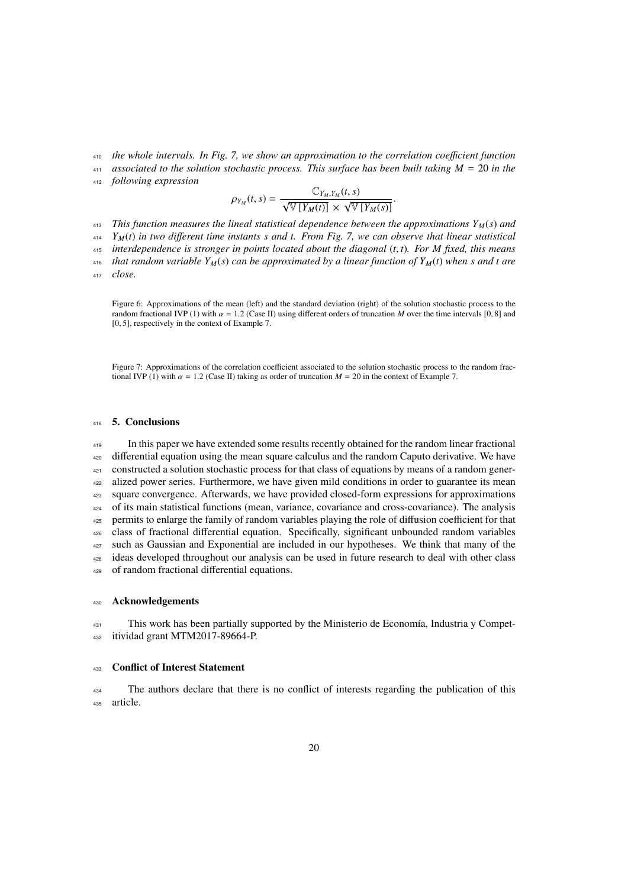*the whole intervals. In Fig. 7, we show an approximation to the correlation coe*ffi*cient function*

 *associated to the solution stochastic process. This surface has been built taking M* = 20 *in the following expression*

$$
Q_{11}(t, s) =
$$

$$
\rho_{Y_M}(t,s) = \frac{\mathbb{C}_{Y_M,Y_M}(t,s)}{\sqrt{\mathbb{V}\left[Y_M(t)\right]}\times\sqrt{\mathbb{V}\left[Y_M(s)\right]}}
$$

 *This function measures the lineal statistical dependence between the approximations YM*(*s*) *and YM*(*t*) *in two di*ff*erent time instants s and t. From Fig. 7, we can observe that linear statistical 415 interdependence is stronger in points located about the diagonal*  $(t, t)$ *. For M fixed, this means* that random variable  $Y_M(s)$  can be approximated by a linear function of  $Y_M(t)$  when s and t are that random variable  $Y_M(s)$  can be approximated by a linear function of  $Y_M(t)$  when s and t are *close.*

Figure 6: Approximations of the mean (left) and the standard deviation (right) of the solution stochastic process to the random fractional IVP (1) with  $\alpha = 1.2$  (Case II) using different orders of truncation *M* over the time intervals [0, 8] and [0, 5], respectively in the context of Example 7.

Figure 7: Approximations of the correlation coefficient associated to the solution stochastic process to the random fractional IVP (1) with  $\alpha = 1.2$  (Case II) taking as order of truncation  $M = 20$  in the context of Example 7.

#### 5. Conclusions

 In this paper we have extended some results recently obtained for the random linear fractional differential equation using the mean square calculus and the random Caputo derivative. We have constructed a solution stochastic process for that class of equations by means of a random gener- alized power series. Furthermore, we have given mild conditions in order to guarantee its mean square convergence. Afterwards, we have provided closed-form expressions for approximations of its main statistical functions (mean, variance, covariance and cross-covariance). The analysis permits to enlarge the family of random variables playing the role of diffusion coefficient for that class of fractional differential equation. Specifically, significant unbounded random variables 427 such as Gaussian and Exponential are included in our hypotheses. We think that many of the ideas developed throughout our analysis can be used in future research to deal with other class of random fractional differential equations.

#### Acknowledgements

<sup>431</sup> This work has been partially supported by the Ministerio de Economía, Industria y Compet-itividad grant MTM2017-89664-P.

#### Conflict of Interest Statement

 The authors declare that there is no conflict of interests regarding the publication of this article.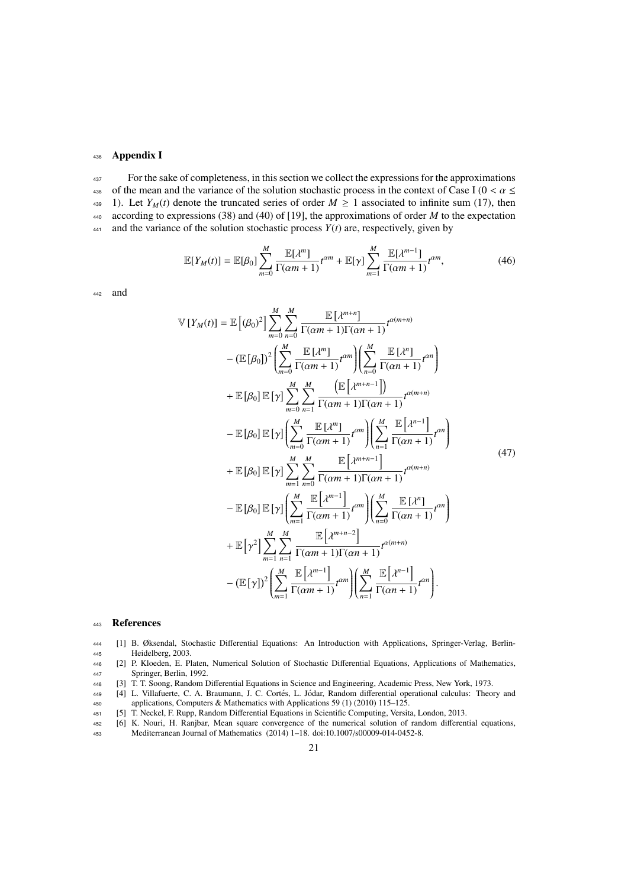# <sup>436</sup> Appendix I

<sup>437</sup> For the sake of completeness, in this section we collect the expressions for the approximations 438 of the mean and the variance of the solution stochastic process in the context of Case I ( $0 < \alpha \le$  439 1). Let  $Y_M(t)$  denote the truncated series of order  $M \ge 1$  associated to infinite sum (17), then 1). Let *Y<sub>M</sub>*(*t*) denote the truncated series of order  $M \ge 1$  associated to infinite sum (17), then <sup>440</sup> according to expressions (38) and (40) of [19], the approximations of order *M* to the expectation  $441$  and the variance of the solution stochastic process  $Y(t)$  are, respectively, given by

$$
\mathbb{E}[Y_M(t)] = \mathbb{E}[\beta_0] \sum_{m=0}^{M} \frac{\mathbb{E}[\lambda^m]}{\Gamma(\alpha m + 1)} t^{\alpha m} + \mathbb{E}[\gamma] \sum_{m=1}^{M} \frac{\mathbb{E}[\lambda^{m-1}]}{\Gamma(\alpha m + 1)} t^{\alpha m},
$$
(46)

<sup>442</sup> and

$$
\mathbb{V}\left[Y_{M}(t)\right] = \mathbb{E}\left[(\beta_{0})^{2}\right] \sum_{m=0}^{M} \sum_{n=0}^{M} \frac{\mathbb{E}\left[\lambda^{m+n}\right]}{\Gamma(\alpha m+1)\Gamma(\alpha n+1)} t^{\alpha(m+n)}
$$
\n
$$
-\left(\mathbb{E}\left[\beta_{0}\right]\right)^{2} \left(\sum_{m=0}^{M} \frac{\mathbb{E}\left[\lambda^{m}\right]}{\Gamma(\alpha m+1)} t^{\alpha m}\right) \left(\sum_{n=0}^{M} \frac{\mathbb{E}\left[\lambda^{n}\right]}{\Gamma(\alpha n+1)} t^{\alpha n}\right)
$$
\n
$$
+\mathbb{E}\left[\beta_{0}\right] \mathbb{E}\left[\gamma\right] \sum_{m=0}^{M} \sum_{n=1}^{M} \frac{\left(\mathbb{E}\left[\lambda^{m+n-1}\right]\right)}{\Gamma(\alpha m+1)\Gamma(\alpha n+1)} t^{\alpha(m+n)}
$$
\n
$$
-\mathbb{E}\left[\beta_{0}\right] \mathbb{E}\left[\gamma\right] \left(\sum_{m=0}^{M} \frac{\mathbb{E}\left[\lambda^{m}\right]}{\Gamma(\alpha m+1)} t^{\alpha m}\right) \left(\sum_{n=1}^{M} \frac{\mathbb{E}\left[\lambda^{n-1}\right]}{\Gamma(\alpha n+1)} t^{\alpha n}\right)
$$
\n
$$
+\mathbb{E}\left[\beta_{0}\right] \mathbb{E}\left[\gamma\right] \sum_{m=1}^{M} \sum_{n=0}^{M} \frac{\mathbb{E}\left[\lambda^{m+n-1}\right]}{\Gamma(\alpha m+1)\Gamma(\alpha n+1)} t^{\alpha(m+n)}
$$
\n
$$
-\mathbb{E}\left[\beta_{0}\right] \mathbb{E}\left[\gamma\right] \left(\sum_{m=1}^{M} \frac{\mathbb{E}\left[\lambda^{m-1}\right]}{\Gamma(\alpha m+1)} t^{\alpha m}\right) \left(\sum_{n=0}^{M} \frac{\mathbb{E}\left[\lambda^{n}\right]}{\Gamma(\alpha n+1)} t^{\alpha n}\right)
$$
\n
$$
+\mathbb{E}\left[\gamma^{2}\right] \sum_{m=1}^{M} \sum_{n=1}^{M} \frac{\mathbb{E}\left[\lambda^{m+n-2}\right]}{\Gamma(\alpha m+1)\Gamma(\alpha n+1)} t^{\alpha(m+n)}
$$
\n
$$
-\left(\mathbb{E}\left[\
$$

#### <sup>443</sup> References

- <sup>444</sup> [1] B. Øksendal, Stochastic Differential Equations: An Introduction with Applications, Springer-Verlag, Berlin-<sup>445</sup> Heidelberg, 2003.
- <sup>446</sup> [2] P. Kloeden, E. Platen, Numerical Solution of Stochastic Differential Equations, Applications of Mathematics, <sup>447</sup> Springer, Berlin, 1992.
- <sup>448</sup> [3] T. T. Soong, Random Differential Equations in Science and Engineering, Academic Press, New York, 1973.
- 449 [4] L. Villafuerte, C. A. Braumann, J. C. Cortés, L. Jódar, Random differential operational calculus: Theory and <sup>450</sup> applications, Computers & Mathematics with Applications 59 (1) (2010) 115–125.
- <sup>451</sup> [5] T. Neckel, F. Rupp, Random Differential Equations in Scientific Computing, Versita, London, 2013.
- <sup>452</sup> [6] K. Nouri, H. Ranjbar, Mean square convergence of the numerical solution of random differential equations, <sup>453</sup> Mediterranean Journal of Mathematics (2014) 1–18. doi:10.1007/s00009-014-0452-8.